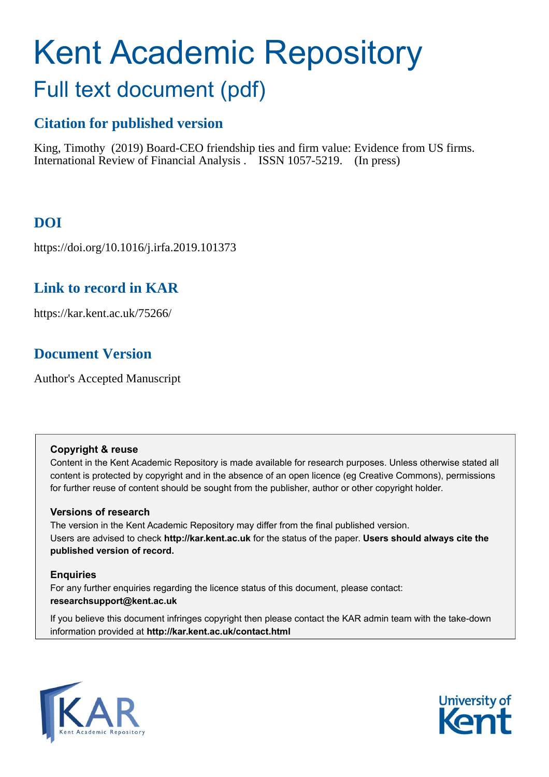# Kent Academic Repository Full text document (pdf)

#### **Citation for published version**

King, Timothy (2019) Board-CEO friendship ties and firm value: Evidence from US firms. International Review of Financial Analysis . ISSN 1057-5219. (In press)

#### **DOI**

https://doi.org/10.1016/j.irfa.2019.101373

#### **Link to record in KAR**

https://kar.kent.ac.uk/75266/

#### **Document Version**

Author's Accepted Manuscript

#### **Copyright & reuse**

Content in the Kent Academic Repository is made available for research purposes. Unless otherwise stated all content is protected by copyright and in the absence of an open licence (eg Creative Commons), permissions for further reuse of content should be sought from the publisher, author or other copyright holder.

#### **Versions of research**

The version in the Kent Academic Repository may differ from the final published version. Users are advised to check **http://kar.kent.ac.uk** for the status of the paper. **Users should always cite the published version of record.**

#### **Enquiries**

For any further enquiries regarding the licence status of this document, please contact: **researchsupport@kent.ac.uk**

If you believe this document infringes copyright then please contact the KAR admin team with the take-down information provided at **http://kar.kent.ac.uk/contact.html**



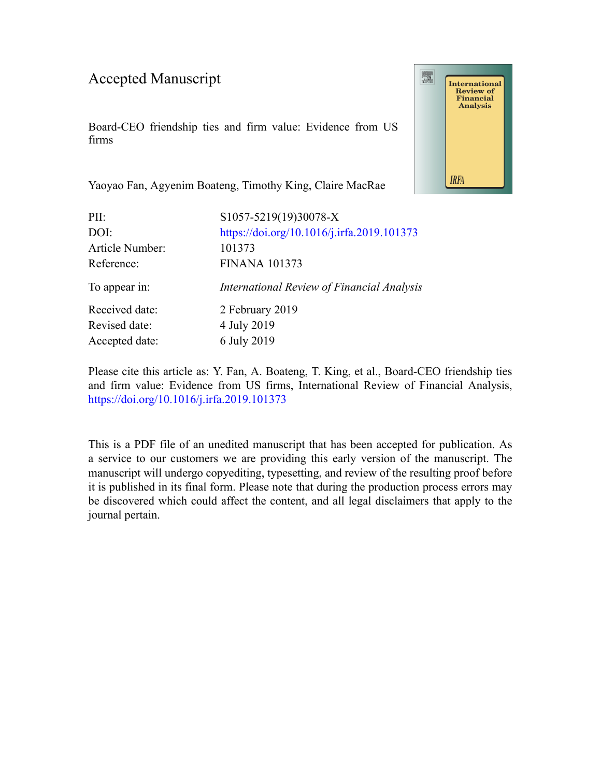#### Accepted Manuscript

Board-CEO friendship ties and firm value: Evidence from US firms



Yaoyao Fan, Agyenim Boateng, Timothy King, Claire MacRae

| PII:            | S1057-5219(19)30078-X                      |
|-----------------|--------------------------------------------|
| DOI:            | https://doi.org/10.1016/j.irfa.2019.101373 |
| Article Number: | 101373                                     |
| Reference:      | <b>FINANA 101373</b>                       |
| To appear in:   | International Review of Financial Analysis |
| Received date:  | 2 February 2019                            |
| Revised date:   | 4 July 2019                                |
|                 |                                            |
| Accepted date:  | 6 July 2019                                |

Please cite this article as: Y. Fan, A. Boateng, T. King, et al., Board-CEO friendship ties and firm value: Evidence from US firms, International Review of Financial Analysis, <https://doi.org/10.1016/j.irfa.2019.101373>

This is a PDF file of an unedited manuscript that has been accepted for publication. As a service to our customers we are providing this early version of the manuscript. The manuscript will undergo copyediting, typesetting, and review of the resulting proof before it is published in its final form. Please note that during the production process errors may be discovered which could affect the content, and all legal disclaimers that apply to the journal pertain.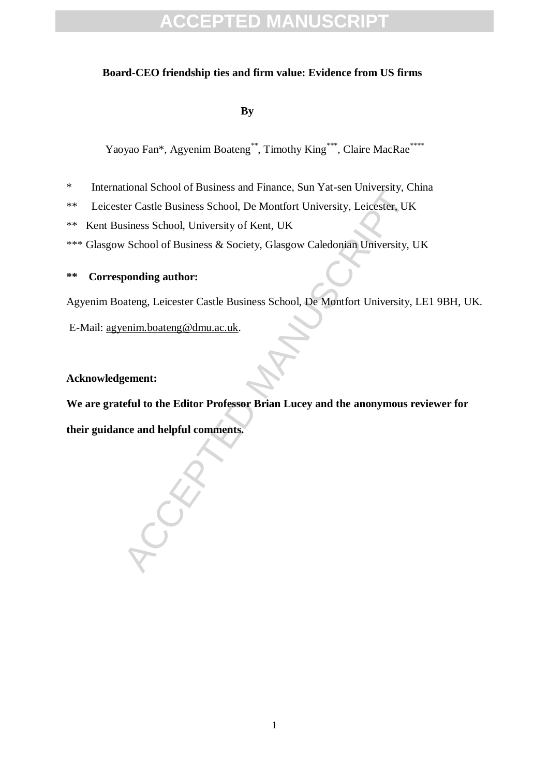#### **Board-CEO friendship ties and firm value: Evidence from US firms**

 **By**

Yaoyao Fan\*, Agyenim Boateng\*\*, Timothy King\*\*\*, Claire MacRae\*\*\*\*

- \* International School of Business and Finance, Sun Yat-sen University, China
- Ether Business and Finance, Sun Factsen University, Capture Castle Business School, De Montfort University, Leicester, UK<br>siness School, University of Kent, UK<br>School of Business & Society, Glasgow Caledonian University, I \*\* Leicester Castle Business School, De Montfort University, Leicester, UK
- \*\* Kent Business School, University of Kent, UK
- \*\*\* Glasgow School of Business & Society, Glasgow Caledonian University, UK

#### **\*\* Corresponding author:**

Agyenim Boateng, Leicester Castle Business School, De Montfort University, LE1 9BH, UK.

E-Mail: agyenim.boateng@dmu.ac.uk.

#### **Acknowledgement:**

**We are grateful to the Editor Professor Brian Lucey and the anonymous reviewer for** 

**their guidance and helpful comments.**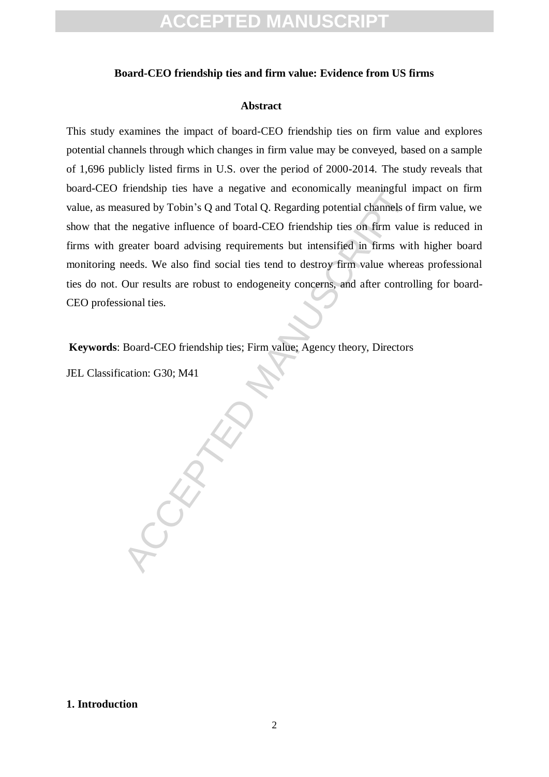#### **Board-CEO friendship ties and firm value: Evidence from US firms**

#### **Abstract**

This study examines the impact of board-CEO friendship ties on firm value and explores potential channels through which changes in firm value may be conveyed, based on a sample of 1,696 publicly listed firms in U.S. over the period of 2000-2014. The study reveals that board-CEO friendship ties have a negative and economically meaningful impact on firm value, as measured by Tobin's Q and Total Q. Regarding potential channels of firm value, we show that the negative influence of board-CEO friendship ties on firm value is reduced in firms with greater board advising requirements but intensified in firms with higher board monitoring needs. We also find social ties tend to destroy firm value whereas professional ties do not. Our results are robust to endogeneity concerns, and after controlling for board-CEO professional ties.

**Keywords**: Board-CEO friendship ties; Firm value; Agency theory, Directors

ACCEPTED MANUSCRIPT

JEL Classification: G30; M41

**1. Introduction**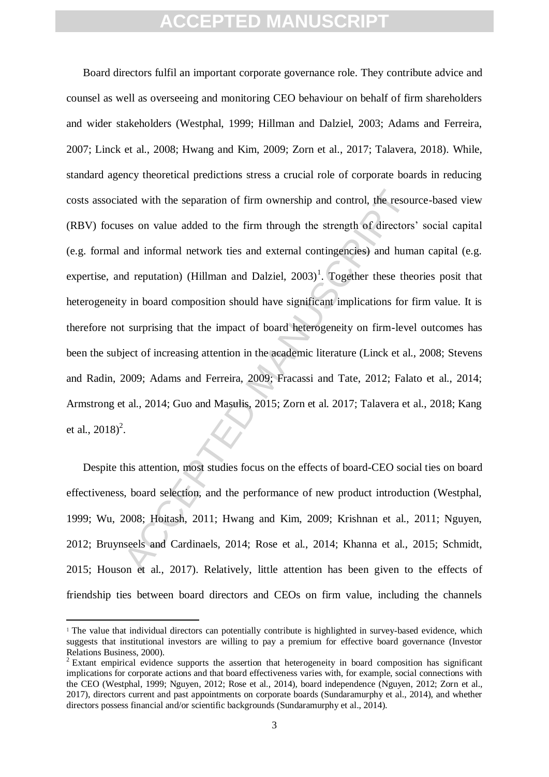ated with the separation of firm ownership and control, the resources on value added to the firm through the strength of directors and informal network ties and external contingencies) and hum<br>nd reputation) (Hillman and D Board directors fulfil an important corporate governance role. They contribute advice and counsel as well as overseeing and monitoring CEO behaviour on behalf of firm shareholders and wider stakeholders (Westphal, 1999; Hillman and Dalziel, 2003; Adams and Ferreira, 2007; Linck et al., 2008; Hwang and Kim, 2009; Zorn et al., 2017; Talavera, 2018). While, standard agency theoretical predictions stress a crucial role of corporate boards in reducing costs associated with the separation of firm ownership and control, the resource-based view (RBV) focuses on value added to the firm through the strength of directors' social capital (e.g. formal and informal network ties and external contingencies) and human capital (e.g. expertise, and reputation) (Hillman and Dalziel,  $2003$ )<sup>1</sup>. Together these theories posit that heterogeneity in board composition should have significant implications for firm value. It is therefore not surprising that the impact of board heterogeneity on firm-level outcomes has been the subject of increasing attention in the academic literature (Linck et al., 2008; Stevens and Radin, 2009; Adams and Ferreira, 2009; Fracassi and Tate, 2012; Falato et al., 2014; Armstrong et al., 2014; Guo and Masulis, 2015; Zorn et al. 2017; Talavera et al., 2018; Kang et al.,  $2018)^2$ .

Despite this attention, most studies focus on the effects of board-CEO social ties on board effectiveness, board selection, and the performance of new product introduction (Westphal, 1999; Wu, 2008; Hoitash, 2011; Hwang and Kim, 2009; Krishnan et al., 2011; Nguyen, 2012; Bruynseels and Cardinaels, 2014; Rose et al., 2014; Khanna et al., 2015; Schmidt, 2015; Houson et al., 2017). Relatively, little attention has been given to the effects of friendship ties between board directors and CEOs on firm value, including the channels

<sup>&</sup>lt;sup>1</sup> The value that individual directors can potentially contribute is highlighted in survey-based evidence, which suggests that institutional investors are willing to pay a premium for effective board governance (Investor Relations Business, 2000).

<sup>&</sup>lt;sup>2</sup> Extant empirical evidence supports the assertion that heterogeneity in board composition has significant implications for corporate actions and that board effectiveness varies with, for example, social connections with the CEO (Westphal, 1999; Nguyen, 2012; Rose et al., 2014), board independence (Nguyen, 2012; Zorn et al., 2017), directors current and past appointments on corporate boards (Sundaramurphy et al., 2014), and whether directors possess financial and/or scientific backgrounds (Sundaramurphy et al., 2014).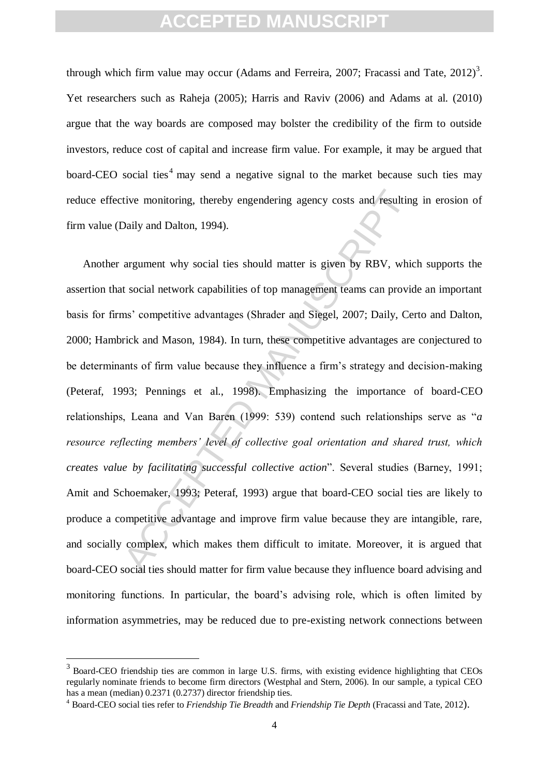through which firm value may occur (Adams and Ferreira, 2007; Fracassi and Tate,  $2012$ )<sup>3</sup>. Yet researchers such as Raheja (2005); Harris and Raviv (2006) and Adams at al. (2010) argue that the way boards are composed may bolster the credibility of the firm to outside investors, reduce cost of capital and increase firm value. For example, it may be argued that board-CEO social ties<sup>4</sup> may send a negative signal to the market because such ties may reduce effective monitoring, thereby engendering agency costs and resulting in erosion of firm value (Daily and Dalton, 1994).

tive monitoring, thereby engendering agency costs and resulting<br>Daily and Dalton, 1994).<br>argument why social ties should matter is given by RBV, which<br>accelerated manuscript and Siegel, 2007; Daily, Cercick and Mason, 1984 Another argument why social ties should matter is given by RBV, which supports the assertion that social network capabilities of top management teams can provide an important basis for firms' competitive advantages (Shrader and Siegel, 2007; Daily, Certo and Dalton, 2000; Hambrick and Mason, 1984). In turn, these competitive advantages are conjectured to be determinants of firm value because they influence a firm's strategy and decision-making (Peteraf, 1993; Pennings et al., 1998). Emphasizing the importance of board-CEO relationships, Leana and Van Baren (1999: 539) contend such relationships serve as "*a resource reflecting members' level of collective goal orientation and shared trust, which creates value by facilitating successful collective action*". Several studies (Barney, 1991; Amit and Schoemaker, 1993; Peteraf, 1993) argue that board-CEO social ties are likely to produce a competitive advantage and improve firm value because they are intangible, rare, and socially complex, which makes them difficult to imitate. Moreover, it is argued that board-CEO social ties should matter for firm value because they influence board advising and monitoring functions. In particular, the board's advising role, which is often limited by information asymmetries, may be reduced due to pre-existing network connections between

 $\overline{a}$ 

<sup>&</sup>lt;sup>3</sup> Board-CEO friendship ties are common in large U.S. firms, with existing evidence highlighting that CEOs regularly nominate friends to become firm directors (Westphal and Stern, 2006). In our sample, a typical CEO has a mean (median) 0.2371 (0.2737) director friendship ties.

<sup>4</sup> Board-CEO social ties refer to *Friendship Tie Breadth* and *Friendship Tie Depth* (Fracassi and Tate, 2012).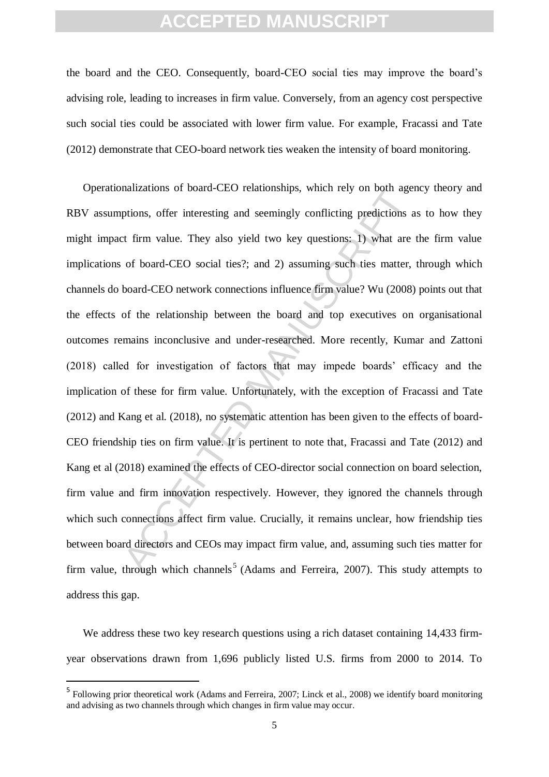the board and the CEO. Consequently, board-CEO social ties may improve the board's advising role, leading to increases in firm value. Conversely, from an agency cost perspective such social ties could be associated with lower firm value. For example, Fracassi and Tate (2012) demonstrate that CEO-board network ties weaken the intensity of board monitoring.

nanzations of board-CEO relationships, winch fery off oour age<br>ptions, offer interesting and seemingly conflicting predictions at<br>firm value. They also yield two key questions: 1) what are<br>of board-CEO social ties?; and 2) Operationalizations of board-CEO relationships, which rely on both agency theory and RBV assumptions, offer interesting and seemingly conflicting predictions as to how they might impact firm value. They also yield two key questions: 1) what are the firm value implications of board-CEO social ties?; and 2) assuming such ties matter, through which channels do board-CEO network connections influence firm value? Wu (2008) points out that the effects of the relationship between the board and top executives on organisational outcomes remains inconclusive and under-researched. More recently, Kumar and Zattoni (2018) called for investigation of factors that may impede boards' efficacy and the implication of these for firm value. Unfortunately, with the exception of Fracassi and Tate (2012) and Kang et al. (2018), no systematic attention has been given to the effects of board-CEO friendship ties on firm value. It is pertinent to note that, Fracassi and Tate (2012) and Kang et al (2018) examined the effects of CEO-director social connection on board selection, firm value and firm innovation respectively. However, they ignored the channels through which such connections affect firm value. Crucially, it remains unclear, how friendship ties between board directors and CEOs may impact firm value, and, assuming such ties matter for firm value, through which channels<sup>5</sup> (Adams and Ferreira, 2007). This study attempts to address this gap.

We address these two key research questions using a rich dataset containing 14,433 firmyear observations drawn from 1,696 publicly listed U.S. firms from 2000 to 2014. To

<sup>&</sup>lt;sup>5</sup> Following prior theoretical work (Adams and Ferreira, 2007; Linck et al., 2008) we identify board monitoring and advising as two channels through which changes in firm value may occur.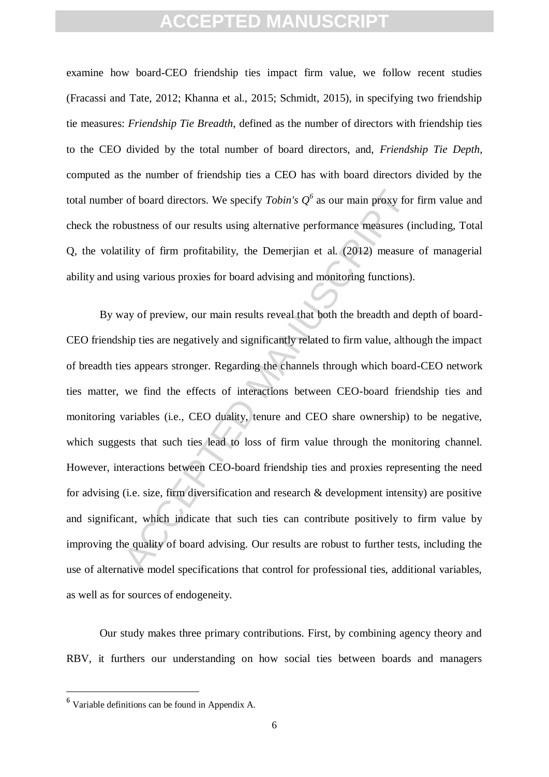examine how board-CEO friendship ties impact firm value, we follow recent studies (Fracassi and Tate, 2012; Khanna et al., 2015; Schmidt, 2015), in specifying two friendship tie measures: *Friendship Tie Breadth*, defined as the number of directors with friendship ties to the CEO divided by the total number of board directors, and, *Friendship Tie Depth*, computed as the number of friendship ties a CEO has with board directors divided by the total number of board directors. We specify *Tobin's Q<sup>6</sup>* as our main proxy for firm value and check the robustness of our results using alternative performance measures (including, Total Q, the volatility of firm profitability, the Demerjian et al. (2012) measure of managerial ability and using various proxies for board advising and monitoring functions).

c of board directors. We specify *Tobin's*  $Q^6$  as our main proxy for bustness of our results using alternative performance measures (i<br>ility of firm profitability, the Demerjian et al. (2012) measure<br>sing various proxie By way of preview, our main results reveal that both the breadth and depth of board-CEO friendship ties are negatively and significantly related to firm value, although the impact of breadth ties appears stronger. Regarding the channels through which board-CEO network ties matter, we find the effects of interactions between CEO-board friendship ties and monitoring variables (i.e., CEO duality, tenure and CEO share ownership) to be negative, which suggests that such ties lead to loss of firm value through the monitoring channel. However, interactions between CEO-board friendship ties and proxies representing the need for advising (i.e. size, firm diversification and research & development intensity) are positive and significant, which indicate that such ties can contribute positively to firm value by improving the quality of board advising. Our results are robust to further tests, including the use of alternative model specifications that control for professional ties, additional variables, as well as for sources of endogeneity.

Our study makes three primary contributions. First, by combining agency theory and RBV, it furthers our understanding on how social ties between boards and managers

<sup>6</sup> Variable definitions can be found in Appendix A.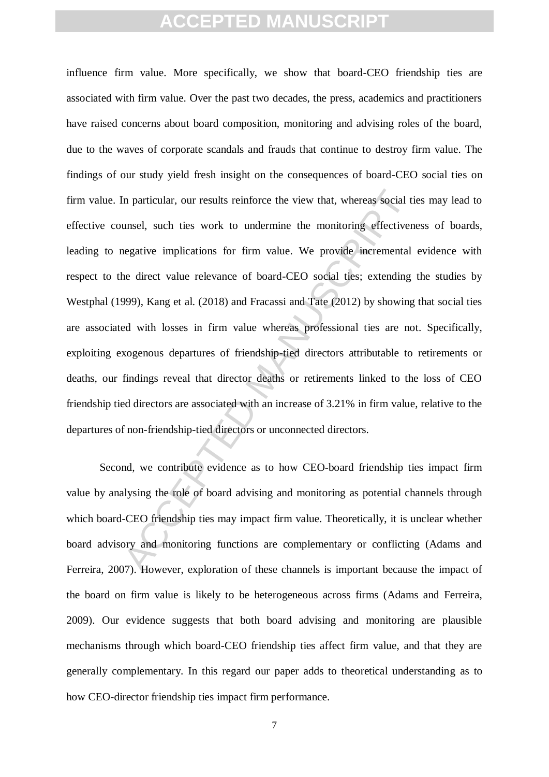In particular, our results reinforce the view that, whereas social tiumsel, such ties work to undermine the monitoring effectiven egative implications for firm value. We provide incremental he direct value relevance of boa influence firm value. More specifically, we show that board-CEO friendship ties are associated with firm value. Over the past two decades, the press, academics and practitioners have raised concerns about board composition, monitoring and advising roles of the board, due to the waves of corporate scandals and frauds that continue to destroy firm value. The findings of our study yield fresh insight on the consequences of board-CEO social ties on firm value. In particular, our results reinforce the view that, whereas social ties may lead to effective counsel, such ties work to undermine the monitoring effectiveness of boards, leading to negative implications for firm value. We provide incremental evidence with respect to the direct value relevance of board-CEO social ties; extending the studies by Westphal (1999), Kang et al. (2018) and Fracassi and Tate (2012) by showing that social ties are associated with losses in firm value whereas professional ties are not. Specifically, exploiting exogenous departures of friendship-tied directors attributable to retirements or deaths, our findings reveal that director deaths or retirements linked to the loss of CEO friendship tied directors are associated with an increase of 3.21% in firm value, relative to the departures of non-friendship-tied directors or unconnected directors.

Second, we contribute evidence as to how CEO-board friendship ties impact firm value by analysing the role of board advising and monitoring as potential channels through which board-CEO friendship ties may impact firm value. Theoretically, it is unclear whether board advisory and monitoring functions are complementary or conflicting (Adams and Ferreira, 2007). However, exploration of these channels is important because the impact of the board on firm value is likely to be heterogeneous across firms (Adams and Ferreira, 2009). Our evidence suggests that both board advising and monitoring are plausible mechanisms through which board-CEO friendship ties affect firm value, and that they are generally complementary. In this regard our paper adds to theoretical understanding as to how CEO-director friendship ties impact firm performance.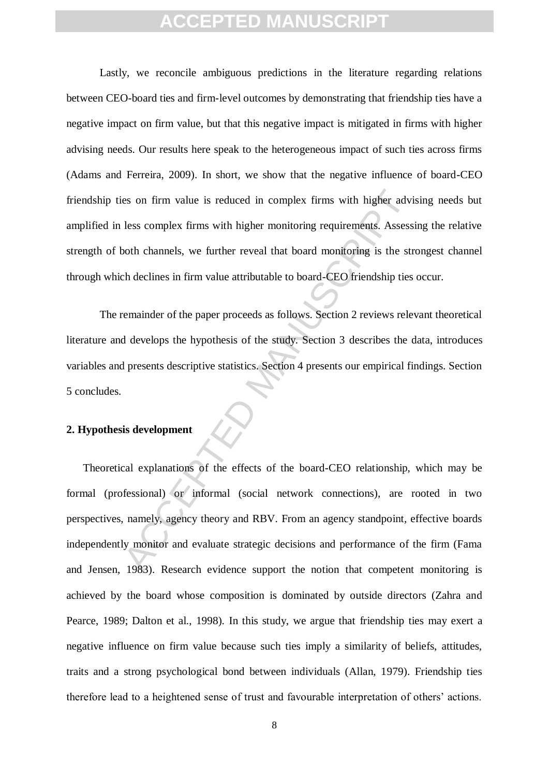Lastly, we reconcile ambiguous predictions in the literature regarding relations between CEO-board ties and firm-level outcomes by demonstrating that friendship ties have a negative impact on firm value, but that this negative impact is mitigated in firms with higher advising needs. Our results here speak to the heterogeneous impact of such ties across firms (Adams and Ferreira, 2009). In short, we show that the negative influence of board-CEO friendship ties on firm value is reduced in complex firms with higher advising needs but amplified in less complex firms with higher monitoring requirements. Assessing the relative strength of both channels, we further reveal that board monitoring is the strongest channel through which declines in firm value attributable to board-CEO friendship ties occur.

The remainder of the paper proceeds as follows. Section 2 reviews relevant theoretical literature and develops the hypothesis of the study. Section 3 describes the data, introduces variables and presents descriptive statistics. Section 4 presents our empirical findings. Section 5 concludes.

#### **2. Hypothesis development**

es on firm value is reduced in complex firms with higher advised less complex firms with higher monitoring requirements. Assess<br>sooth channels, we further reveal that board monitoring is the stresh declines in firm value a Theoretical explanations of the effects of the board-CEO relationship, which may be formal (professional) or informal (social network connections), are rooted in two perspectives, namely, agency theory and RBV. From an agency standpoint, effective boards independently monitor and evaluate strategic decisions and performance of the firm (Fama and Jensen, 1983). Research evidence support the notion that competent monitoring is achieved by the board whose composition is dominated by outside directors (Zahra and Pearce, 1989; Dalton et al., 1998). In this study, we argue that friendship ties may exert a negative influence on firm value because such ties imply a similarity of beliefs, attitudes, traits and a strong psychological bond between individuals (Allan, 1979). Friendship ties therefore lead to a heightened sense of trust and favourable interpretation of others' actions.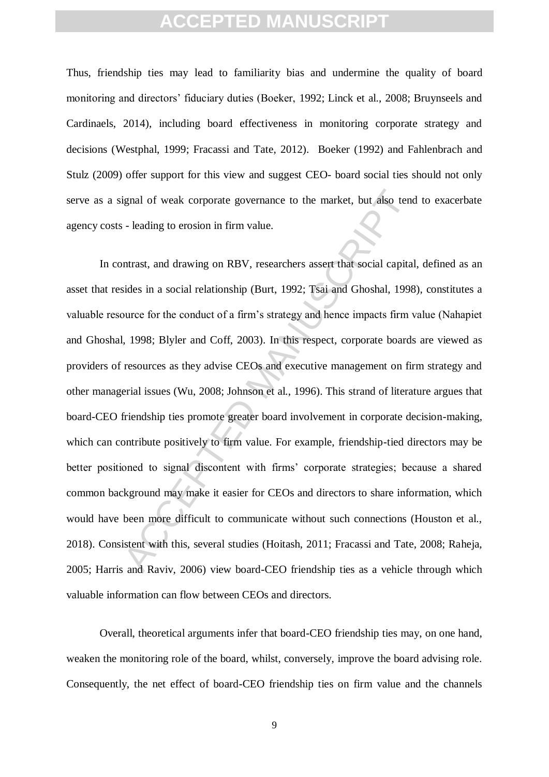Thus, friendship ties may lead to familiarity bias and undermine the quality of board monitoring and directors' fiduciary duties (Boeker, 1992; Linck et al., 2008; Bruynseels and Cardinaels, 2014), including board effectiveness in monitoring corporate strategy and decisions (Westphal, 1999; Fracassi and Tate, 2012). Boeker (1992) and Fahlenbrach and Stulz (2009) offer support for this view and suggest CEO- board social ties should not only serve as a signal of weak corporate governance to the market, but also tend to exacerbate agency costs - leading to erosion in firm value.

ignal of weak corporate governance to the market, but also tend<br>increase in a social manuscription.<br>Intrast, and drawing on RBV, researchers assert that social capital<br>sides in a social relationship (Burt, 1992; Tsai and G In contrast, and drawing on RBV, researchers assert that social capital, defined as an asset that resides in a social relationship (Burt, 1992; Tsai and Ghoshal, 1998), constitutes a valuable resource for the conduct of a firm's strategy and hence impacts firm value (Nahapiet and Ghoshal, 1998; Blyler and Coff, 2003). In this respect, corporate boards are viewed as providers of resources as they advise CEOs and executive management on firm strategy and other managerial issues (Wu, 2008; Johnson et al., 1996). This strand of literature argues that board-CEO friendship ties promote greater board involvement in corporate decision-making, which can contribute positively to firm value. For example, friendship-tied directors may be better positioned to signal discontent with firms' corporate strategies; because a shared common background may make it easier for CEOs and directors to share information, which would have been more difficult to communicate without such connections (Houston et al., 2018). Consistent with this, several studies (Hoitash, 2011; Fracassi and Tate, 2008; Raheja, 2005; Harris and Raviv, 2006) view board-CEO friendship ties as a vehicle through which valuable information can flow between CEOs and directors.

Overall, theoretical arguments infer that board-CEO friendship ties may, on one hand, weaken the monitoring role of the board, whilst, conversely, improve the board advising role. Consequently, the net effect of board-CEO friendship ties on firm value and the channels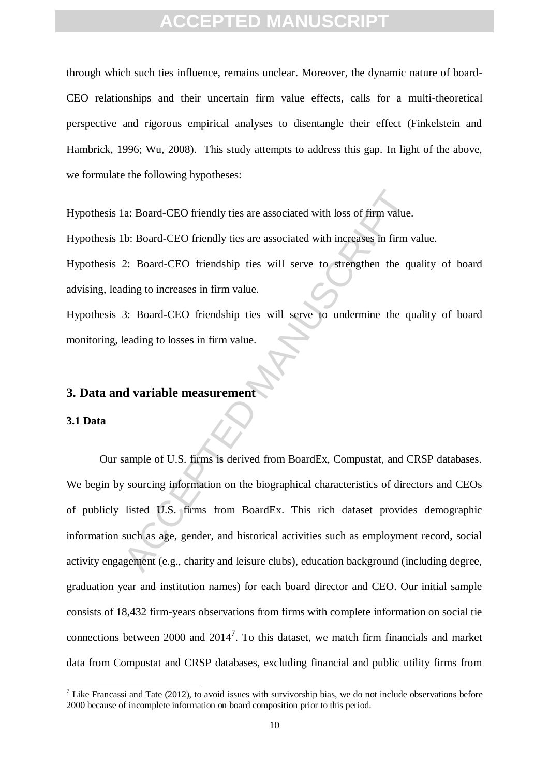through which such ties influence, remains unclear. Moreover, the dynamic nature of board-CEO relationships and their uncertain firm value effects, calls for a multi-theoretical perspective and rigorous empirical analyses to disentangle their effect (Finkelstein and Hambrick, 1996; Wu, 2008). This study attempts to address this gap. In light of the above, we formulate the following hypotheses:

Hypothesis 1a: Board-CEO friendly ties are associated with loss of firm value.

Hypothesis 1b: Board-CEO friendly ties are associated with increases in firm value.

Hypothesis 2: Board-CEO friendship ties will serve to strengthen the quality of board advising, leading to increases in firm value.

Hypothesis 3: Board-CEO friendship ties will serve to undermine the quality of board monitoring, leading to losses in firm value.

#### **3. Data and variable measurement**

#### **3.1 Data**

-

1a: Board-CEO friendly ties are associated with loss of firm value.<br>
1b: Board-CEO friendly ties are associated with increases in firm v<br>
2: Board-CEO friendship ties will serve to strengthen the qu<br>
13: Board-CEO friendsh Our sample of U.S. firms is derived from BoardEx, Compustat, and CRSP databases. We begin by sourcing information on the biographical characteristics of directors and CEOs of publicly listed U.S. firms from BoardEx. This rich dataset provides demographic information such as age, gender, and historical activities such as employment record, social activity engagement (e.g., charity and leisure clubs), education background (including degree, graduation year and institution names) for each board director and CEO. Our initial sample consists of 18,432 firm-years observations from firms with complete information on social tie connections between  $2000$  and  $2014<sup>7</sup>$ . To this dataset, we match firm financials and market data from Compustat and CRSP databases, excluding financial and public utility firms from

<sup>&</sup>lt;sup>7</sup> Like Francassi and Tate (2012), to avoid issues with survivorship bias, we do not include observations before 2000 because of incomplete information on board composition prior to this period.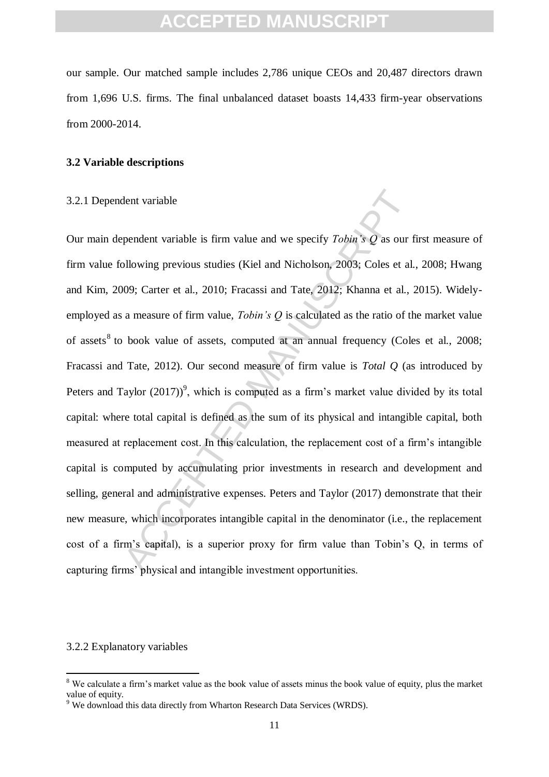our sample. Our matched sample includes 2,786 unique CEOs and 20,487 directors drawn from 1,696 U.S. firms. The final unbalanced dataset boasts 14,433 firm-year observations from 2000-2014.

#### **3.2 Variable descriptions**

#### 3.2.1 Dependent variable

dent variable is firm value and we specify *Tobin's*  $Q$  as our the production of the section of the section of the section of the section of the section of the section of firm value, *Tobin's Q* is calculated as the rati Our main dependent variable is firm value and we specify *Tobin's Q* as our first measure of firm value following previous studies (Kiel and Nicholson, 2003; Coles et al., 2008; Hwang and Kim, 2009; Carter et al., 2010; Fracassi and Tate, 2012; Khanna et al., 2015). Widelyemployed as a measure of firm value, *Tobin's Q* is calculated as the ratio of the market value of assets<sup>8</sup> to book value of assets, computed at an annual frequency (Coles et al., 2008; Fracassi and Tate, 2012). Our second measure of firm value is *Total Q* (as introduced by Peters and Taylor  $(2017)^9$ , which is computed as a firm's market value divided by its total capital: where total capital is defined as the sum of its physical and intangible capital, both measured at replacement cost. In this calculation, the replacement cost of a firm's intangible capital is computed by accumulating prior investments in research and development and selling, general and administrative expenses. Peters and Taylor (2017) demonstrate that their new measure, which incorporates intangible capital in the denominator (i.e., the replacement cost of a firm's capital), is a superior proxy for firm value than Tobin's Q, in terms of capturing firms' physical and intangible investment opportunities.

#### 3.2.2 Explanatory variables

<u>.</u>

<sup>&</sup>lt;sup>8</sup> We calculate a firm's market value as the book value of assets minus the book value of equity, plus the market value of equity.

<sup>&</sup>lt;sup>9</sup> We download this data directly from Wharton Research Data Services (WRDS).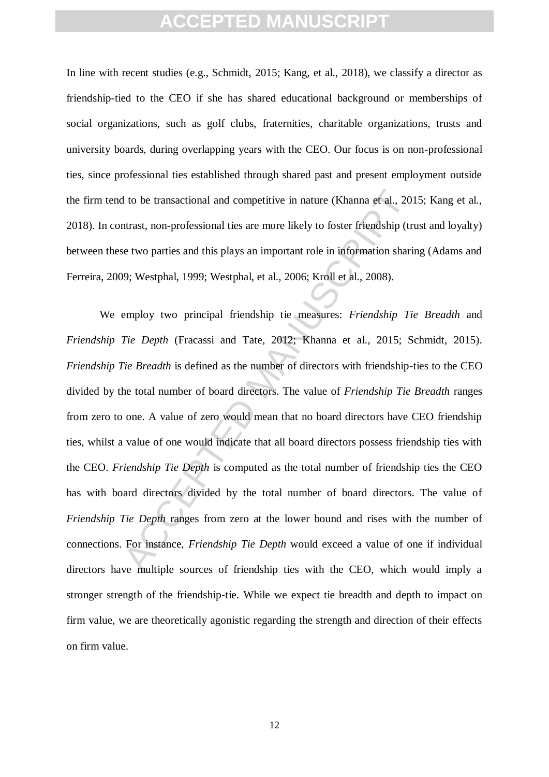In line with recent studies (e.g., Schmidt, 2015; Kang, et al., 2018), we classify a director as friendship-tied to the CEO if she has shared educational background or memberships of social organizations, such as golf clubs, fraternities, charitable organizations, trusts and university boards, during overlapping years with the CEO. Our focus is on non-professional ties, since professional ties established through shared past and present employment outside the firm tend to be transactional and competitive in nature (Khanna et al., 2015; Kang et al., 2018). In contrast, non-professional ties are more likely to foster friendship (trust and loyalty) between these two parties and this plays an important role in information sharing (Adams and Ferreira, 2009; Westphal, 1999; Westphal, et al., 2006; Kroll et al., 2008).

It of the transactional and competitive in nature (Khanna et al., 20<br>
Intrast, non-professional ties are more likely to foster friendship (tr<br>
se two parties and this plays an important role in information shari<br>
199; West We employ two principal friendship tie measures: *Friendship Tie Breadth* and *Friendship Tie Depth* (Fracassi and Tate, 2012; Khanna et al., 2015; Schmidt, 2015). *Friendship Tie Breadth* is defined as the number of directors with friendship-ties to the CEO divided by the total number of board directors. The value of *Friendship Tie Breadth* ranges from zero to one. A value of zero would mean that no board directors have CEO friendship ties, whilst a value of one would indicate that all board directors possess friendship ties with the CEO. *Friendship Tie Depth* is computed as the total number of friendship ties the CEO has with board directors divided by the total number of board directors. The value of *Friendship Tie Depth* ranges from zero at the lower bound and rises with the number of connections. For instance, *Friendship Tie Depth* would exceed a value of one if individual directors have multiple sources of friendship ties with the CEO, which would imply a stronger strength of the friendship-tie. While we expect tie breadth and depth to impact on firm value, we are theoretically agonistic regarding the strength and direction of their effects on firm value.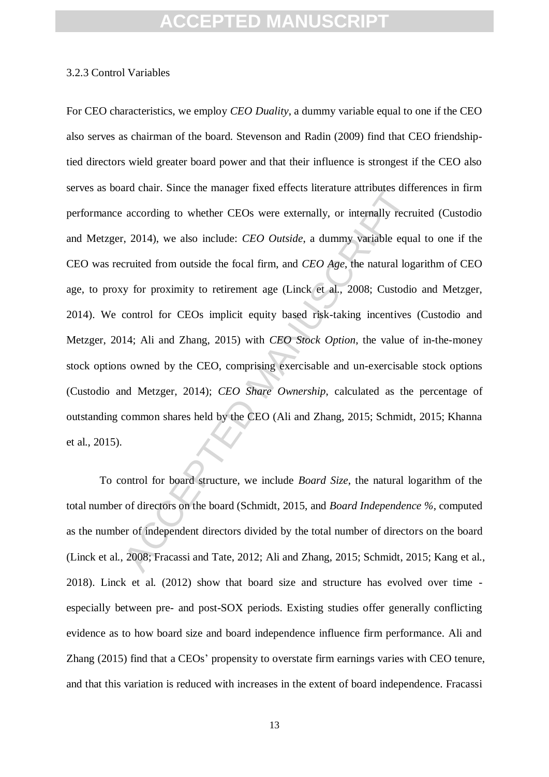#### 3.2.3 Control Variables

and chain. Since the manager inset enects meadure auriouses unit<br>according to whether CEOs were externally, or internally recri-<br>r, 2014), we also include: *CEO Outside*, a dummy variable equencied from outside the focal f For CEO characteristics, we employ *CEO Duality*, a dummy variable equal to one if the CEO also serves as chairman of the board. Stevenson and Radin (2009) find that CEO friendshiptied directors wield greater board power and that their influence is strongest if the CEO also serves as board chair. Since the manager fixed effects literature attributes differences in firm performance according to whether CEOs were externally, or internally recruited (Custodio and Metzger, 2014), we also include: *CEO Outside*, a dummy variable equal to one if the CEO was recruited from outside the focal firm, and *CEO Age*, the natural logarithm of CEO age, to proxy for proximity to retirement age (Linck et al., 2008; Custodio and Metzger, 2014). We control for CEOs implicit equity based risk-taking incentives (Custodio and Metzger, 2014; Ali and Zhang, 2015) with *CEO Stock Option*, the value of in-the-money stock options owned by the CEO, comprising exercisable and un-exercisable stock options (Custodio and Metzger, 2014); *CEO Share Ownership*, calculated as the percentage of outstanding common shares held by the CEO (Ali and Zhang, 2015; Schmidt, 2015; Khanna et al., 2015).

To control for board structure, we include *Board Size*, the natural logarithm of the total number of directors on the board (Schmidt, 2015, and *Board Independence %*, computed as the number of independent directors divided by the total number of directors on the board (Linck et al., 2008; Fracassi and Tate, 2012; Ali and Zhang, 2015; Schmidt, 2015; Kang et al., 2018). Linck et al. (2012) show that board size and structure has evolved over time especially between pre- and post-SOX periods. Existing studies offer generally conflicting evidence as to how board size and board independence influence firm performance. Ali and Zhang (2015) find that a CEOs' propensity to overstate firm earnings varies with CEO tenure, and that this variation is reduced with increases in the extent of board independence. Fracassi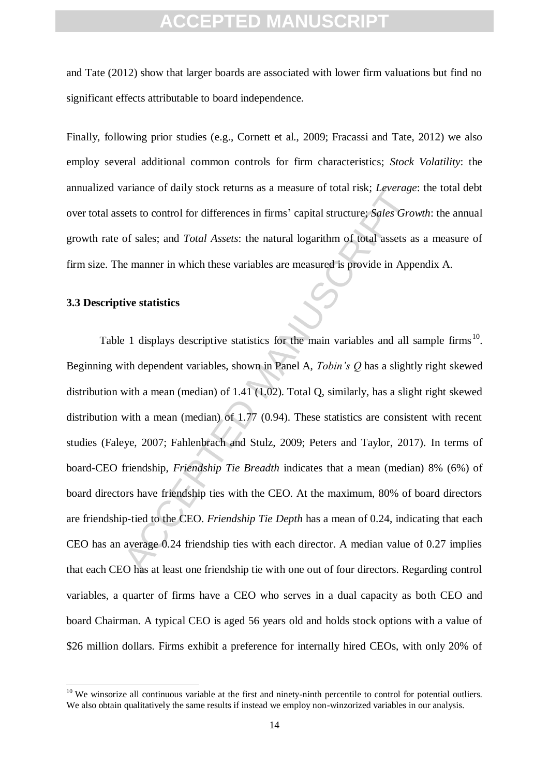and Tate (2012) show that larger boards are associated with lower firm valuations but find no significant effects attributable to board independence.

Finally, following prior studies (e.g., Cornett et al., 2009; Fracassi and Tate, 2012) we also employ several additional common controls for firm characteristics; *Stock Volatility*: the annualized variance of daily stock returns as a measure of total risk; *Leverage*: the total debt over total assets to control for differences in firms' capital structure; *Sales Growth*: the annual growth rate of sales; and *Total Assets*: the natural logarithm of total assets as a measure of firm size. The manner in which these variables are measured is provide in Appendix A.

#### **3.3 Descriptive statistics**

-

anance of daily stock returns as a measure of total fisk, *Leverage*<br>sets to control for differences in firms' capital structure; *Sales Gro*<br>of sales; and *Total Assets*: the natural logarithm of total assets a<br>le manner Table 1 displays descriptive statistics for the main variables and all sample firms<sup>10</sup>. Beginning with dependent variables, shown in Panel A, *Tobin's Q* has a slightly right skewed distribution with a mean (median) of 1.41 (1.02). Total Q, similarly, has a slight right skewed distribution with a mean (median) of 1.77 (0.94). These statistics are consistent with recent studies (Faleye, 2007; Fahlenbrach and Stulz, 2009; Peters and Taylor, 2017). In terms of board-CEO friendship, *Friendship Tie Breadth* indicates that a mean (median) 8% (6%) of board directors have friendship ties with the CEO. At the maximum, 80% of board directors are friendship-tied to the CEO. *Friendship Tie Depth* has a mean of 0.24, indicating that each CEO has an average 0.24 friendship ties with each director. A median value of 0.27 implies that each CEO has at least one friendship tie with one out of four directors. Regarding control variables, a quarter of firms have a CEO who serves in a dual capacity as both CEO and board Chairman. A typical CEO is aged 56 years old and holds stock options with a value of \$26 million dollars. Firms exhibit a preference for internally hired CEOs, with only 20% of

 $10$  We winsorize all continuous variable at the first and ninety-ninth percentile to control for potential outliers. We also obtain qualitatively the same results if instead we employ non-winzorized variables in our analysis.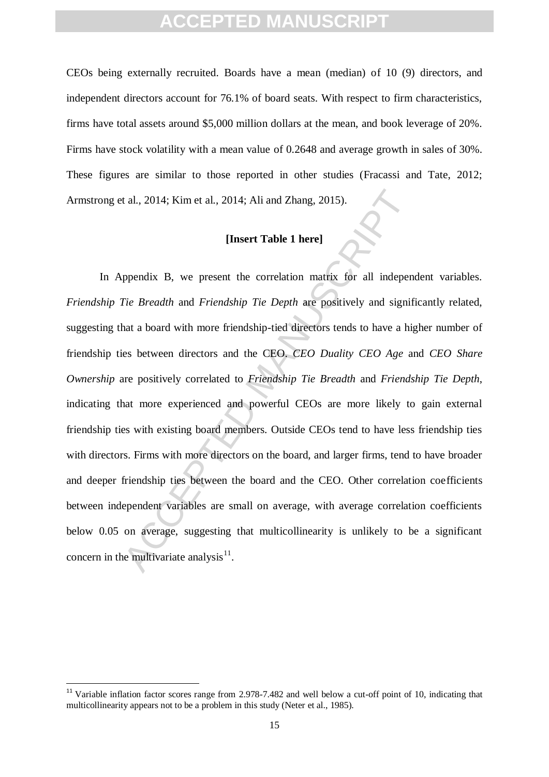CEOs being externally recruited. Boards have a mean (median) of 10 (9) directors, and independent directors account for 76.1% of board seats. With respect to firm characteristics, firms have total assets around \$5,000 million dollars at the mean, and book leverage of 20%. Firms have stock volatility with a mean value of 0.2648 and average growth in sales of 30%. These figures are similar to those reported in other studies (Fracassi and Tate, 2012; Armstrong et al., 2014; Kim et al., 2014; Ali and Zhang, 2015).

#### **[Insert Table 1 here]**

t al., 2014; Kim et al., 2014; Ali and Zhang, 2015).<br> **[Insert Table 1 here]**<br>
ppendix B, we present the correlation matrix for all indepen<br> *Tie Breadth* and *Friendship Tie Depth* are positively and signif<br>
that a board In Appendix B, we present the correlation matrix for all independent variables. *Friendship Tie Breadth* and *Friendship Tie Depth* are positively and significantly related, suggesting that a board with more friendship-tied directors tends to have a higher number of friendship ties between directors and the CEO. *CEO Duality CEO Age* and *CEO Share Ownership* are positively correlated to *Friendship Tie Breadth* and *Friendship Tie Depth*, indicating that more experienced and powerful CEOs are more likely to gain external friendship ties with existing board members. Outside CEOs tend to have less friendship ties with directors. Firms with more directors on the board, and larger firms, tend to have broader and deeper friendship ties between the board and the CEO. Other correlation coefficients between independent variables are small on average, with average correlation coefficients below 0.05 on average, suggesting that multicollinearity is unlikely to be a significant concern in the multivariate analysis $^{11}$ .

 $11$  Variable inflation factor scores range from 2.978-7.482 and well below a cut-off point of 10, indicating that multicollinearity appears not to be a problem in this study (Neter et al., 1985).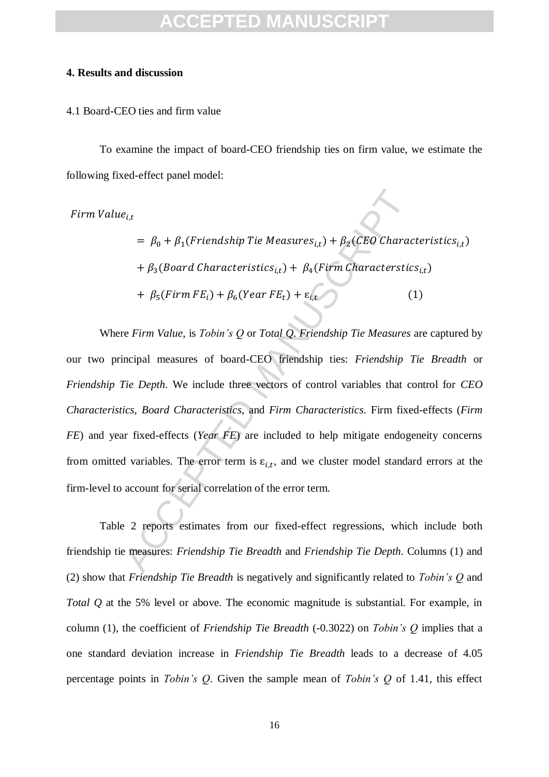#### **4. Results and discussion**

#### 4.1 Board-CEO ties and firm value

To examine the impact of board-CEO friendship ties on firm value, we estimate the following fixed-effect panel model:

 $Firm$  Value<sub>it</sub>

 $= \beta_0 + \beta_1(Friendship Tie Measures_{i,t}) + \beta_2(CEO Characteristics_{i,t})$ +  $\beta_3(B$ oard Characteristics<sub>i,t</sub>) +  $\beta_4(Firm$  Characterstics<sub>i,t</sub>) +  $\beta_5(Firm FE_i) + \beta_6(Year FE_t) + \varepsilon_{i,t}$  (1)

 $e_{i,t}$ <br>  $= \beta_0 + \beta_1(Friendship Tie Measures_{i,t}) + \beta_2(CEO Charac$ <br>  $+ \beta_3(Boad Characteristics_{i,t}) + \beta_4(Firm Characteristic$ <br>  $+ \beta_5(Firm FE_i) + \beta_6(Year FE_t) + \varepsilon_{i,t}$  (<br>  $= \varepsilon_F rirm Value,$  is *Tobin's Q* or *Total Q. Friendship Tie Measures*<br>  $= \varepsilon_F rirm Value,$  is *Tobin's Q* or *Total Q. Friendship* Where *Firm Value*, is *Tobin's Q* or *Total Q*. *Friendship Tie Measures* are captured by our two principal measures of board-CEO friendship ties: *Friendship Tie Breadth* or *Friendship Tie Depth*. We include three vectors of control variables that control for *CEO Characteristics*, *Board Characteristics*, and *Firm Characteristics*. Firm fixed-effects (*Firm FE*) and year fixed-effects (*Year FE*) are included to help mitigate endogeneity concerns from omitted variables. The error term is  $\varepsilon_{i,t}$ , and we cluster model standard errors at the firm-level to account for serial correlation of the error term.

Table 2 reports estimates from our fixed-effect regressions, which include both friendship tie measures: *Friendship Tie Breadth* and *Friendship Tie Depth*. Columns (1) and (2) show that *Friendship Tie Breadth* is negatively and significantly related to *Tobin's Q* and *Total Q* at the 5% level or above. The economic magnitude is substantial. For example, in column (1), the coefficient of *Friendship Tie Breadth* (-0.3022) on *Tobin's Q* implies that a one standard deviation increase in *Friendship Tie Breadth* leads to a decrease of 4.05 percentage points in *Tobin's Q*. Given the sample mean of *Tobin's Q* of 1.41, this effect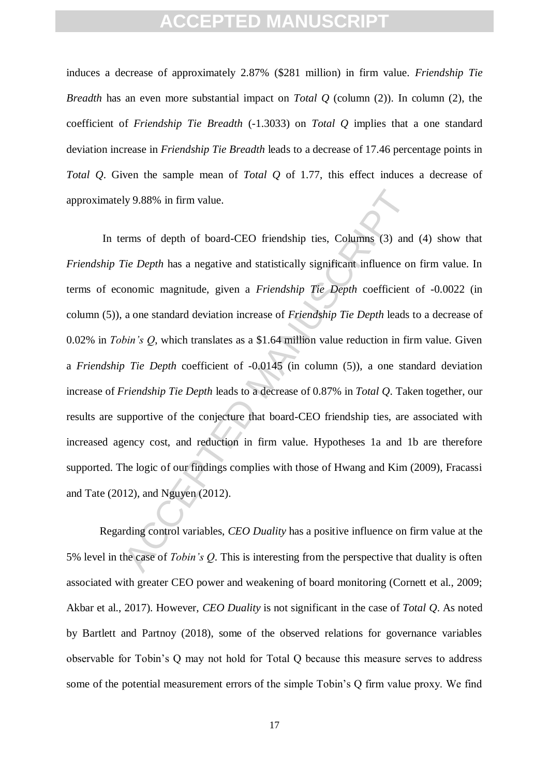induces a decrease of approximately 2.87% (\$281 million) in firm value. *Friendship Tie Breadth* has an even more substantial impact on *Total Q* (column (2)). In column (2), the coefficient of *Friendship Tie Breadth* (-1.3033) on *Total Q* implies that a one standard deviation increase in *Friendship Tie Breadth* leads to a decrease of 17.46 percentage points in *Total Q*. Given the sample mean of *Total Q* of 1.77, this effect induces a decrease of approximately 9.88% in firm value.

1y 9.88% in firm value.<br>
Erms of depth of board-CEO friendship ties, Columns (3) and<br>
Tie Depth has a negative and statistically significant influence or<br>
nonomic magnitude, given a *Friendship Tie Depth* coefficient<br>
a o In terms of depth of board-CEO friendship ties, Columns (3) and (4) show that *Friendship Tie Depth* has a negative and statistically significant influence on firm value. In terms of economic magnitude, given a *Friendship Tie Depth* coefficient of -0.0022 (in column (5)), a one standard deviation increase of *Friendship Tie Depth* leads to a decrease of 0.02% in *Tobin's Q*, which translates as a \$1.64 million value reduction in firm value. Given a *Friendship Tie Depth* coefficient of -0.0145 (in column (5)), a one standard deviation increase of *Friendship Tie Depth* leads to a decrease of 0.87% in *Total Q*. Taken together, our results are supportive of the conjecture that board-CEO friendship ties, are associated with increased agency cost, and reduction in firm value. Hypotheses 1a and 1b are therefore supported. The logic of our findings complies with those of Hwang and Kim (2009), Fracassi and Tate (2012), and Nguyen (2012).

Regarding control variables, *CEO Duality* has a positive influence on firm value at the 5% level in the case of *Tobin's Q*. This is interesting from the perspective that duality is often associated with greater CEO power and weakening of board monitoring (Cornett et al., 2009; Akbar et al., 2017). However, *CEO Duality* is not significant in the case of *Total Q*. As noted by Bartlett and Partnoy (2018), some of the observed relations for governance variables observable for Tobin's Q may not hold for Total Q because this measure serves to address some of the potential measurement errors of the simple Tobin's Q firm value proxy. We find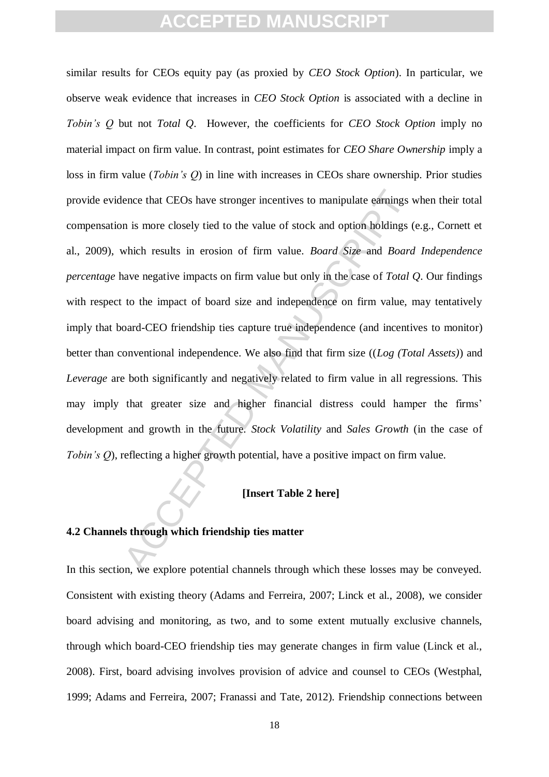ence that CEOs have stronger incentives to manipulate earnings on is more closely tied to the value of stock and option holdings (which results in erosion of firm value. *Board Size* and *Boara* have negative impacts on fi similar results for CEOs equity pay (as proxied by *CEO Stock Option*). In particular, we observe weak evidence that increases in *CEO Stock Option* is associated with a decline in *Tobin's Q* but not *Total Q*. However, the coefficients for *CEO Stock Option* imply no material impact on firm value. In contrast, point estimates for *CEO Share Ownership* imply a loss in firm value (*Tobin's Q*) in line with increases in CEOs share ownership. Prior studies provide evidence that CEOs have stronger incentives to manipulate earnings when their total compensation is more closely tied to the value of stock and option holdings (e.g., Cornett et al., 2009), which results in erosion of firm value. *Board Size* and *Board Independence percentage* have negative impacts on firm value but only in the case of *Total Q*. Our findings with respect to the impact of board size and independence on firm value, may tentatively imply that board-CEO friendship ties capture true independence (and incentives to monitor) better than conventional independence. We also find that firm size ((*Log (Total Assets)*) and *Leverage* are both significantly and negatively related to firm value in all regressions. This may imply that greater size and higher financial distress could hamper the firms' development and growth in the future. *Stock Volatility* and *Sales Growth* (in the case of *Tobin's Q*), reflecting a higher growth potential, have a positive impact on firm value.

#### **[Insert Table 2 here]**

#### **4.2 Channels through which friendship ties matter**

In this section, we explore potential channels through which these losses may be conveyed. Consistent with existing theory (Adams and Ferreira, 2007; Linck et al., 2008), we consider board advising and monitoring, as two, and to some extent mutually exclusive channels, through which board-CEO friendship ties may generate changes in firm value (Linck et al., 2008). First, board advising involves provision of advice and counsel to CEOs (Westphal, 1999; Adams and Ferreira, 2007; Franassi and Tate, 2012). Friendship connections between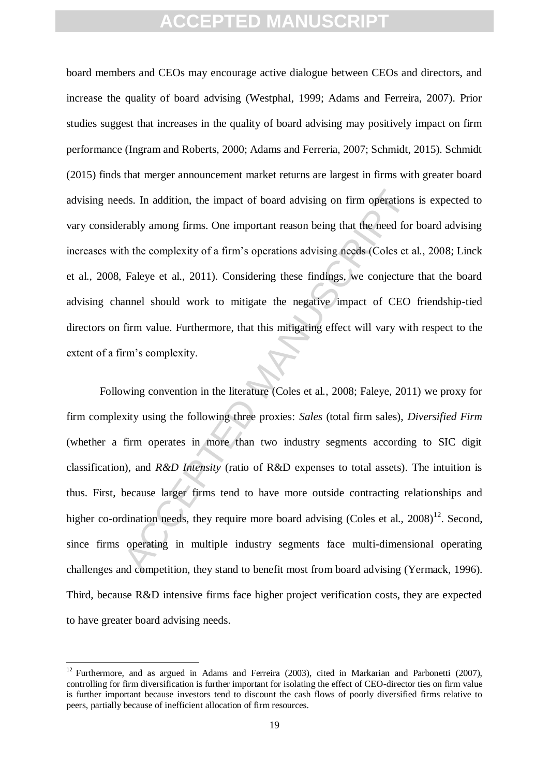board members and CEOs may encourage active dialogue between CEOs and directors, and increase the quality of board advising (Westphal, 1999; Adams and Ferreira, 2007). Prior studies suggest that increases in the quality of board advising may positively impact on firm performance (Ingram and Roberts, 2000; Adams and Ferreria, 2007; Schmidt, 2015). Schmidt (2015) finds that merger announcement market returns are largest in firms with greater board advising needs. In addition, the impact of board advising on firm operations is expected to vary considerably among firms. One important reason being that the need for board advising increases with the complexity of a firm's operations advising needs (Coles et al., 2008; Linck et al., 2008, Faleye et al., 2011). Considering these findings, we conjecture that the board advising channel should work to mitigate the negative impact of CEO friendship-tied directors on firm value. Furthermore, that this mitigating effect will vary with respect to the extent of a firm's complexity.

ds. In addition, the impact of board advising on firm operations<br>rably among firms. One important reason being that the need for<br>th the complexity of a firm's operations advising needs (Coles et a<br>Faleye et al., 2011). Con Following convention in the literature (Coles et al., 2008; Faleye, 2011) we proxy for firm complexity using the following three proxies: *Sales* (total firm sales), *Diversified Firm* (whether a firm operates in more than two industry segments according to SIC digit classification), and *R&D Intensity* (ratio of R&D expenses to total assets). The intuition is thus. First, because larger firms tend to have more outside contracting relationships and higher co-ordination needs, they require more board advising (Coles et al.,  $2008$ )<sup>12</sup>. Second, since firms operating in multiple industry segments face multi-dimensional operating challenges and competition, they stand to benefit most from board advising (Yermack, 1996). Third, because R&D intensive firms face higher project verification costs, they are expected to have greater board advising needs.

 $12$  Furthermore, and as argued in Adams and Ferreira (2003), cited in Markarian and Parbonetti (2007), controlling for firm diversification is further important for isolating the effect of CEO-director ties on firm value is further important because investors tend to discount the cash flows of poorly diversified firms relative to peers, partially because of inefficient allocation of firm resources.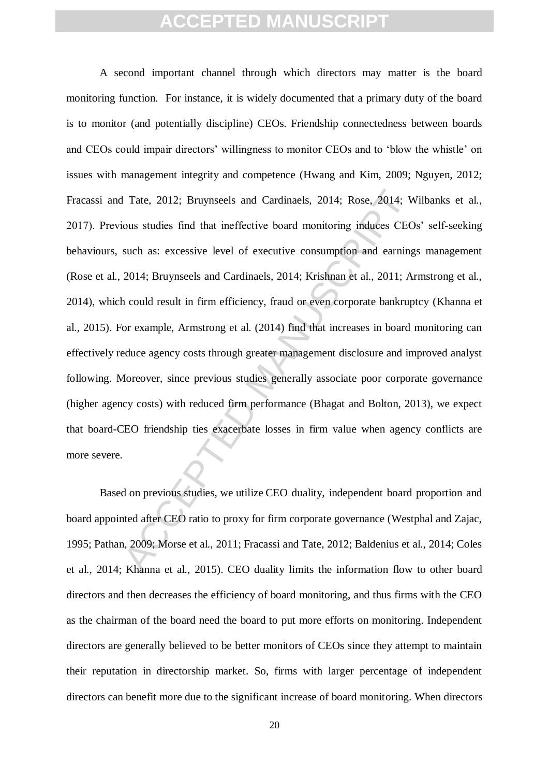1 Tate, 2012; Bruynseels and Cardinaels, 2014; Rose, 2014; Woos studies find that ineffective board monitoring induces CEC such as: excessive level of executive consumption and earning 2014; Bruynseels and Cardinaels, 2014 A second important channel through which directors may matter is the board monitoring function. For instance, it is widely documented that a primary duty of the board is to monitor (and potentially discipline) CEOs. Friendship connectedness between boards and CEOs could impair directors' willingness to monitor CEOs and to 'blow the whistle' on issues with management integrity and competence (Hwang and Kim, 2009; Nguyen, 2012; Fracassi and Tate, 2012; Bruynseels and Cardinaels, 2014; Rose, 2014; Wilbanks et al., 2017). Previous studies find that ineffective board monitoring induces CEOs' self-seeking behaviours, such as: excessive level of executive consumption and earnings management (Rose et al., 2014; Bruynseels and Cardinaels, 2014; Krishnan et al., 2011; Armstrong et al., 2014), which could result in firm efficiency, fraud or even corporate bankruptcy (Khanna et al., 2015). For example, Armstrong et al. (2014) find that increases in board monitoring can effectively reduce agency costs through greater management disclosure and improved analyst following. Moreover, since previous studies generally associate poor corporate governance (higher agency costs) with reduced firm performance (Bhagat and Bolton, 2013), we expect that board-CEO friendship ties exacerbate losses in firm value when agency conflicts are more severe.

Based on previous studies, we utilize CEO duality, independent board proportion and board appointed after CEO ratio to proxy for firm corporate governance (Westphal and Zajac, 1995; Pathan, 2009; Morse et al., 2011; Fracassi and Tate, 2012; Baldenius et al., 2014; Coles et al., 2014; Khanna et al., 2015). CEO duality limits the information flow to other board directors and then decreases the efficiency of board monitoring, and thus firms with the CEO as the chairman of the board need the board to put more efforts on monitoring. Independent directors are generally believed to be better monitors of CEOs since they attempt to maintain their reputation in directorship market. So, firms with larger percentage of independent directors can benefit more due to the significant increase of board monitoring. When directors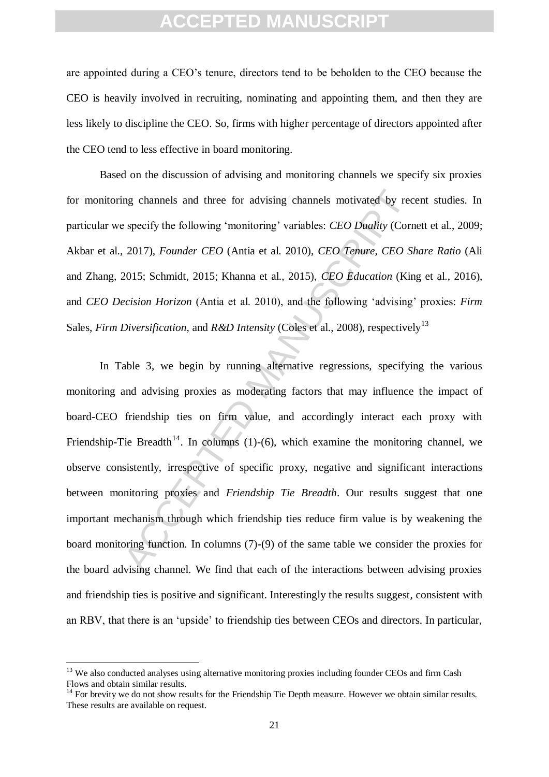are appointed during a CEO's tenure, directors tend to be beholden to the CEO because the CEO is heavily involved in recruiting, nominating and appointing them, and then they are less likely to discipline the CEO. So, firms with higher percentage of directors appointed after the CEO tend to less effective in board monitoring.

Based on the discussion of advising and monitoring channels we specify six proxies for monitoring channels and three for advising channels motivated by recent studies. In particular we specify the following 'monitoring' variables: *CEO Duality* (Cornett et al., 2009; Akbar et al., 2017), *Founder CEO* (Antia et al. 2010), *CEO Tenure, CEO Share Ratio* (Ali and Zhang, 2015; Schmidt, 2015; Khanna et al., 2015), *CEO Education* (King et al., 2016), and *CEO Decision Horizon* (Antia et al. 2010), and the following 'advising' proxies: *Firm*  Sales, *Firm Diversification*, and *R&D Intensity* (Coles et al., 2008), respectively<sup>13</sup>

ing channels and three for advising channels motivated by rec<br>
specify the following 'monitoring' variables: *CEO Duality* (Corr<br>
2017), *Founder CEO* (Antia et al. 2010), *CEO Tenure, CEO* S<br>
2015; Schmidt, 2015; Khanna In Table 3, we begin by running alternative regressions, specifying the various monitoring and advising proxies as moderating factors that may influence the impact of board-CEO friendship ties on firm value, and accordingly interact each proxy with Friendship-Tie Breadth<sup>14</sup>. In columns (1)-(6), which examine the monitoring channel, we observe consistently, irrespective of specific proxy, negative and significant interactions between monitoring proxies and *Friendship Tie Breadth*. Our results suggest that one important mechanism through which friendship ties reduce firm value is by weakening the board monitoring function. In columns (7)-(9) of the same table we consider the proxies for the board advising channel. We find that each of the interactions between advising proxies and friendship ties is positive and significant. Interestingly the results suggest, consistent with an RBV, that there is an 'upside' to friendship ties between CEOs and directors. In particular,

<sup>&</sup>lt;sup>13</sup> We also conducted analyses using alternative monitoring proxies including founder CEOs and firm Cash Flows and obtain similar results.

 $14$  For brevity we do not show results for the Friendship Tie Depth measure. However we obtain similar results. These results are available on request.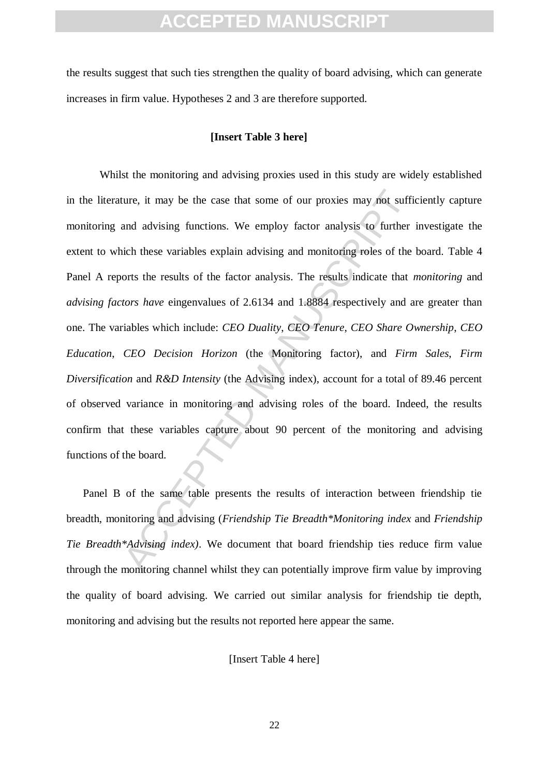the results suggest that such ties strengthen the quality of board advising, which can generate increases in firm value. Hypotheses 2 and 3 are therefore supported.

#### **[Insert Table 3 here]**

ture, it may be the case that some of our proxies may not sufficial<br>and advising functions. We employ factor analysis to further<br>and advising functions. We employ factor analysis to further<br>acceleration these variables exp Whilst the monitoring and advising proxies used in this study are widely established in the literature, it may be the case that some of our proxies may not sufficiently capture monitoring and advising functions. We employ factor analysis to further investigate the extent to which these variables explain advising and monitoring roles of the board. Table 4 Panel A reports the results of the factor analysis. The results indicate that *monitoring* and *advising factors have* eingenvalues of 2.6134 and 1.8884 respectively and are greater than one. The variables which include: *CEO Duality*, *CEO Tenure*, *CEO Share Ownership*, *CEO Education*, *CEO Decision Horizon* (the Monitoring factor), and *Firm Sales*, *Firm Diversification* and *R&D Intensity* (the Advising index), account for a total of 89.46 percent of observed variance in monitoring and advising roles of the board. Indeed, the results confirm that these variables capture about 90 percent of the monitoring and advising functions of the board.

Panel B of the same table presents the results of interaction between friendship tie breadth, monitoring and advising (*Friendship Tie Breadth\*Monitoring index* and *Friendship Tie Breadth\*Advising index)*. We document that board friendship ties reduce firm value through the monitoring channel whilst they can potentially improve firm value by improving the quality of board advising. We carried out similar analysis for friendship tie depth, monitoring and advising but the results not reported here appear the same.

[Insert Table 4 here]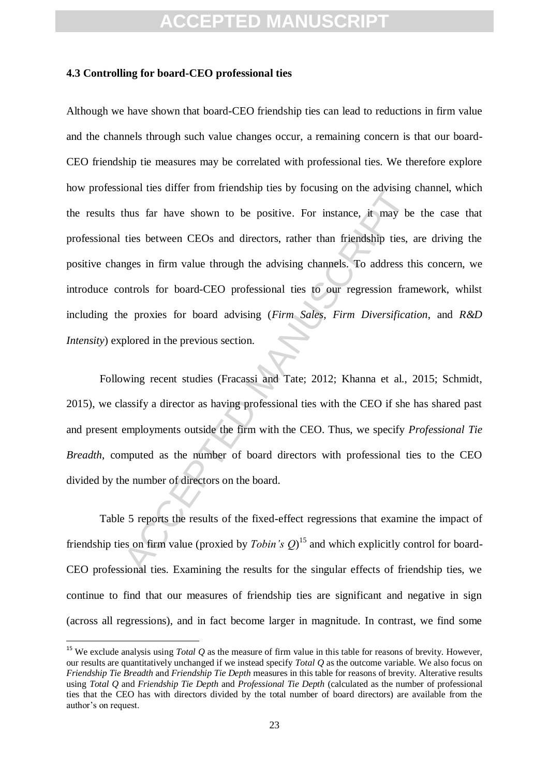#### **4.3 Controlling for board-CEO professional ties**

between CEOs and directors, rather than friendship ties whosts far have shown to be positive. For instance, it may be ties between CEOs and directors, rather than friendship ties, inges in firm value through the advising Although we have shown that board-CEO friendship ties can lead to reductions in firm value and the channels through such value changes occur, a remaining concern is that our board-CEO friendship tie measures may be correlated with professional ties. We therefore explore how professional ties differ from friendship ties by focusing on the advising channel, which the results thus far have shown to be positive. For instance, it may be the case that professional ties between CEOs and directors, rather than friendship ties, are driving the positive changes in firm value through the advising channels. To address this concern, we introduce controls for board-CEO professional ties to our regression framework, whilst including the proxies for board advising (*Firm Sales*, *Firm Diversification*, and *R&D Intensity*) explored in the previous section.

Following recent studies (Fracassi and Tate; 2012; Khanna et al., 2015; Schmidt, 2015), we classify a director as having professional ties with the CEO if she has shared past and present employments outside the firm with the CEO. Thus, we specify *Professional Tie Breadth*, computed as the number of board directors with professional ties to the CEO divided by the number of directors on the board.

Table 5 reports the results of the fixed-effect regressions that examine the impact of friendship ties on firm value (proxied by *Tobin's Q*)<sup>15</sup> and which explicitly control for board-CEO professional ties. Examining the results for the singular effects of friendship ties, we continue to find that our measures of friendship ties are significant and negative in sign (across all regressions), and in fact become larger in magnitude. In contrast, we find some

<sup>&</sup>lt;sup>15</sup> We exclude analysis using *Total Q* as the measure of firm value in this table for reasons of brevity. However, our results are quantitatively unchanged if we instead specify *Total Q* as the outcome variable. We also focus on *Friendship Tie Breadth* and *Friendship Tie Depth* measures in this table for reasons of brevity. Alterative results using *Total Q* and *Friendship Tie Depth* and *Professional Tie Depth* (calculated as the number of professional ties that the CEO has with directors divided by the total number of board directors) are available from the author's on request.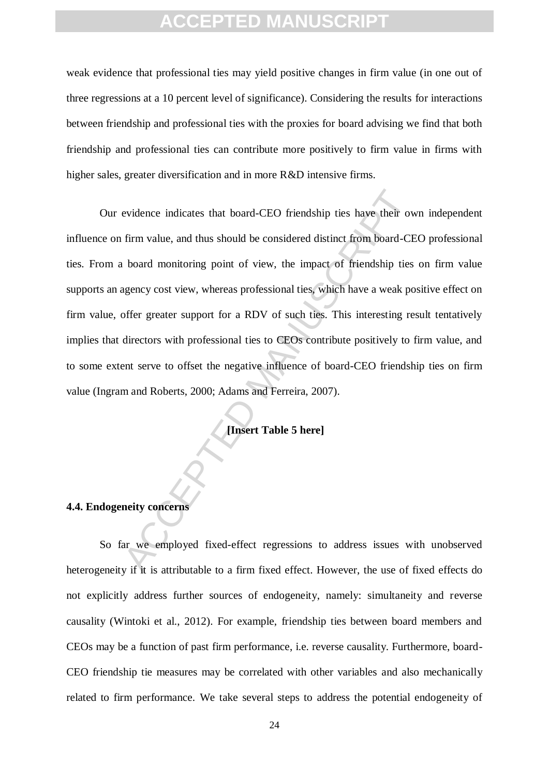weak evidence that professional ties may yield positive changes in firm value (in one out of three regressions at a 10 percent level of significance). Considering the results for interactions between friendship and professional ties with the proxies for board advising we find that both friendship and professional ties can contribute more positively to firm value in firms with higher sales, greater diversification and in more R&D intensive firms.

evidence indicates that board-CEO friendship ties have their over<br>
firm value, and thus should be considered distinct from board-CE<br>
foord monitoring point of view, the impact of friendship ties<br>
ggency cost view, whereas Our evidence indicates that board-CEO friendship ties have their own independent influence on firm value, and thus should be considered distinct from board-CEO professional ties. From a board monitoring point of view, the impact of friendship ties on firm value supports an agency cost view, whereas professional ties, which have a weak positive effect on firm value, offer greater support for a RDV of such ties. This interesting result tentatively implies that directors with professional ties to CEOs contribute positively to firm value, and to some extent serve to offset the negative influence of board-CEO friendship ties on firm value (Ingram and Roberts, 2000; Adams and Ferreira, 2007).

**[Insert Table 5 here]**

#### **4.4. Endogeneity concerns**

So far we employed fixed-effect regressions to address issues with unobserved heterogeneity if it is attributable to a firm fixed effect. However, the use of fixed effects do not explicitly address further sources of endogeneity, namely: simultaneity and reverse causality (Wintoki et al., 2012). For example, friendship ties between board members and CEOs may be a function of past firm performance, i.e. reverse causality. Furthermore, board-CEO friendship tie measures may be correlated with other variables and also mechanically related to firm performance. We take several steps to address the potential endogeneity of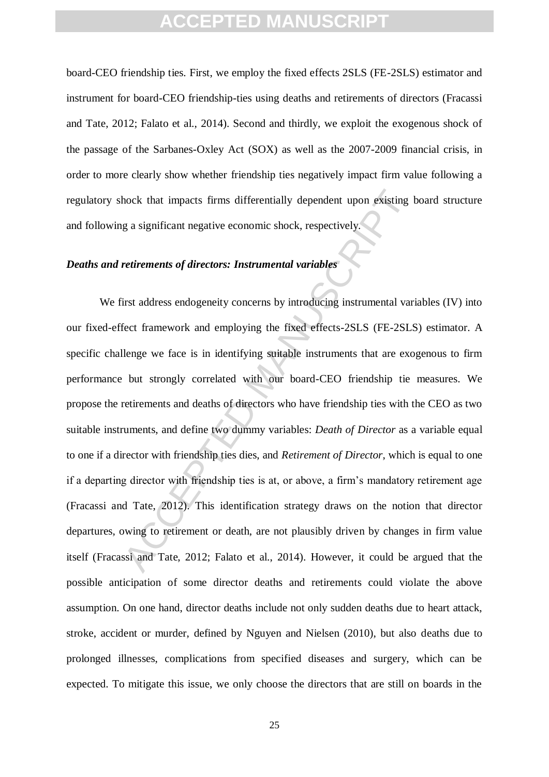board-CEO friendship ties. First, we employ the fixed effects 2SLS (FE-2SLS) estimator and instrument for board-CEO friendship-ties using deaths and retirements of directors (Fracassi and Tate, 2012; Falato et al., 2014). Second and thirdly, we exploit the exogenous shock of the passage of the Sarbanes-Oxley Act (SOX) as well as the 2007-2009 financial crisis, in order to more clearly show whether friendship ties negatively impact firm value following a regulatory shock that impacts firms differentially dependent upon existing board structure and following a significant negative economic shock, respectively.

#### *Deaths and retirements of directors: Instrumental variables*

most firms differentially dependent upon existing<br>g a significant negative economic shock, respectively.<br> *retirements of directors: Instrumental variables*<br>
irst address endogeneity concerns by introducing instrumental va We first address endogeneity concerns by introducing instrumental variables (IV) into our fixed-effect framework and employing the fixed effects-2SLS (FE-2SLS) estimator. A specific challenge we face is in identifying suitable instruments that are exogenous to firm performance but strongly correlated with our board-CEO friendship tie measures. We propose the retirements and deaths of directors who have friendship ties with the CEO as two suitable instruments, and define two dummy variables: *Death of Director* as a variable equal to one if a director with friendship ties dies, and *Retirement of Director*, which is equal to one if a departing director with friendship ties is at, or above, a firm's mandatory retirement age (Fracassi and Tate, 2012). This identification strategy draws on the notion that director departures, owing to retirement or death, are not plausibly driven by changes in firm value itself (Fracassi and Tate, 2012; Falato et al., 2014). However, it could be argued that the possible anticipation of some director deaths and retirements could violate the above assumption. On one hand, director deaths include not only sudden deaths due to heart attack, stroke, accident or murder, defined by Nguyen and Nielsen (2010), but also deaths due to prolonged illnesses, complications from specified diseases and surgery, which can be expected. To mitigate this issue, we only choose the directors that are still on boards in the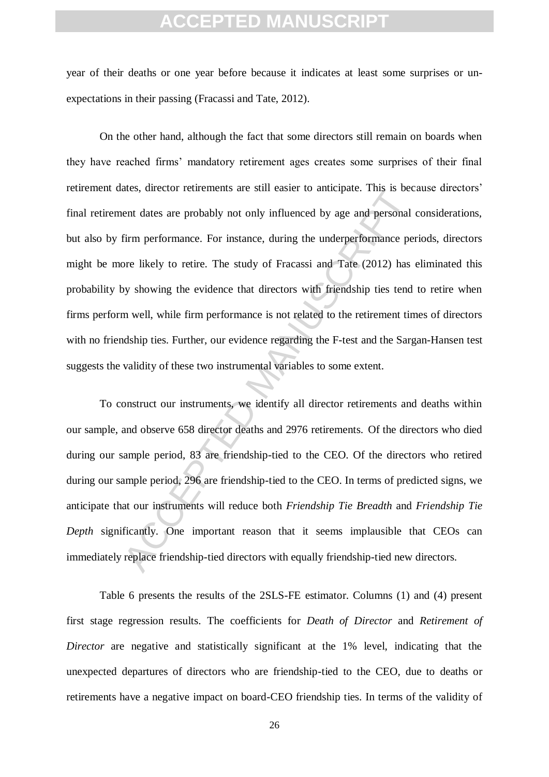year of their deaths or one year before because it indicates at least some surprises or unexpectations in their passing (Fracassi and Tate, 2012).

ates, unector returnments are sum easter to anticipate. This is becaused that are probably not only influenced by age and personal firm performance. For instance, during the underperformance perce likely to retire. The stu On the other hand, although the fact that some directors still remain on boards when they have reached firms' mandatory retirement ages creates some surprises of their final retirement dates, director retirements are still easier to anticipate. This is because directors' final retirement dates are probably not only influenced by age and personal considerations, but also by firm performance. For instance, during the underperformance periods, directors might be more likely to retire. The study of Fracassi and Tate (2012) has eliminated this probability by showing the evidence that directors with friendship ties tend to retire when firms perform well, while firm performance is not related to the retirement times of directors with no friendship ties. Further, our evidence regarding the F-test and the Sargan-Hansen test suggests the validity of these two instrumental variables to some extent.

To construct our instruments, we identify all director retirements and deaths within our sample, and observe 658 director deaths and 2976 retirements. Of the directors who died during our sample period, 83 are friendship-tied to the CEO. Of the directors who retired during our sample period, 296 are friendship-tied to the CEO. In terms of predicted signs, we anticipate that our instruments will reduce both *Friendship Tie Breadth* and *Friendship Tie Depth* significantly. One important reason that it seems implausible that CEOs can immediately replace friendship-tied directors with equally friendship-tied new directors.

Table 6 presents the results of the 2SLS-FE estimator. Columns (1) and (4) present first stage regression results. The coefficients for *Death of Director* and *Retirement of Director* are negative and statistically significant at the 1% level, indicating that the unexpected departures of directors who are friendship-tied to the CEO, due to deaths or retirements have a negative impact on board-CEO friendship ties. In terms of the validity of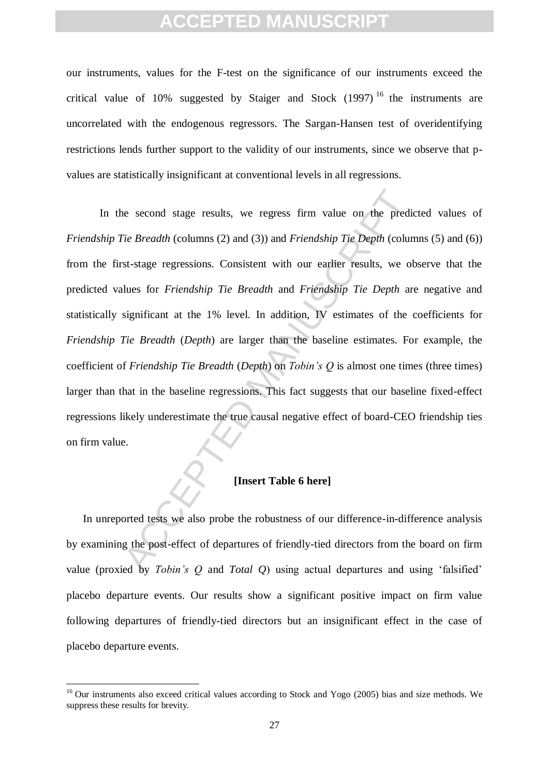our instruments, values for the F-test on the significance of our instruments exceed the critical value of 10% suggested by Staiger and Stock  $(1997)$ <sup>16</sup> the instruments are uncorrelated with the endogenous regressors. The Sargan-Hansen test of overidentifying restrictions lends further support to the validity of our instruments, since we observe that pvalues are statistically insignificant at conventional levels in all regressions.

The Breadth (columns (2) and (3)) and *Friendship Tie Depth* (columns (2) and (3)) and *Friendship Tie Depth* (columns tst-stage regressions. Consistent with our earlier results, we oblues for *Friendship Tie Breadth* and In the second stage results, we regress firm value on the predicted values of *Friendship Tie Breadth* (columns (2) and (3)) and *Friendship Tie Depth* (columns (5) and (6)) from the first-stage regressions. Consistent with our earlier results, we observe that the predicted values for *Friendship Tie Breadth* and *Friendship Tie Depth* are negative and statistically significant at the 1% level. In addition, IV estimates of the coefficients for *Friendship Tie Breadth* (*Depth*) are larger than the baseline estimates. For example, the coefficient of *Friendship Tie Breadth* (*Depth*) on *Tobin's Q* is almost one times (three times) larger than that in the baseline regressions. This fact suggests that our baseline fixed-effect regressions likely underestimate the true causal negative effect of board-CEO friendship ties on firm value.

#### **[Insert Table 6 here]**

In unreported tests we also probe the robustness of our difference-in-difference analysis by examining the post-effect of departures of friendly-tied directors from the board on firm value (proxied by *Tobin's Q* and *Total Q*) using actual departures and using 'falsified' placebo departure events. Our results show a significant positive impact on firm value following departures of friendly-tied directors but an insignificant effect in the case of placebo departure events.

 $16$  Our instruments also exceed critical values according to Stock and Yogo (2005) bias and size methods. We suppress these results for brevity.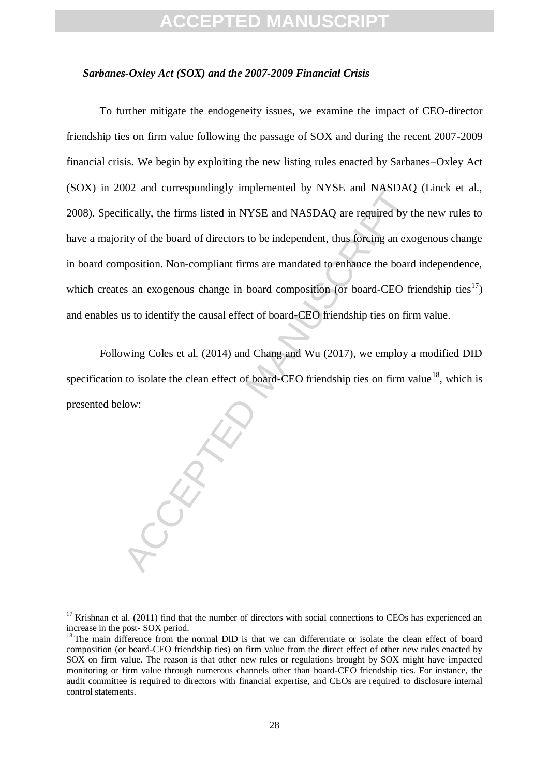#### *Sarbanes-Oxley Act (SOX) and the 2007-2009 Financial Crisis*

boz and contespondingly implemented by NTSE and NASDAQ<br>fically, the firms listed in NYSE and NASDAQ are required by t<br>rity of the board of directors to be independent, thus foreing an exc<br>position. Non-compliant firms are To further mitigate the endogeneity issues, we examine the impact of CEO-director friendship ties on firm value following the passage of SOX and during the recent 2007-2009 financial crisis. We begin by exploiting the new listing rules enacted by Sarbanes–Oxley Act (SOX) in 2002 and correspondingly implemented by NYSE and NASDAQ (Linck et al., 2008). Specifically, the firms listed in NYSE and NASDAQ are required by the new rules to have a majority of the board of directors to be independent, thus forcing an exogenous change in board composition. Non-compliant firms are mandated to enhance the board independence, which creates an exogenous change in board composition (or board-CEO friendship ties<sup>17</sup>) and enables us to identify the causal effect of board-CEO friendship ties on firm value.

Following Coles et al. (2014) and Chang and Wu (2017), we employ a modified DID specification to isolate the clean effect of board-CEO friendship ties on firm value<sup>18</sup>, which is presented below:

<sup>&</sup>lt;sup>17</sup> Krishnan et al. (2011) find that the number of directors with social connections to CEOs has experienced an increase in the post- SOX period.

<sup>&</sup>lt;sup>18</sup> The main difference from the normal DID is that we can differentiate or isolate the clean effect of board composition (or board-CEO friendship ties) on firm value from the direct effect of other new rules enacted by SOX on firm value. The reason is that other new rules or regulations brought by SOX might have impacted monitoring or firm value through numerous channels other than board-CEO friendship ties. For instance, the audit committee is required to directors with financial expertise, and CEOs are required to disclosure internal control statements.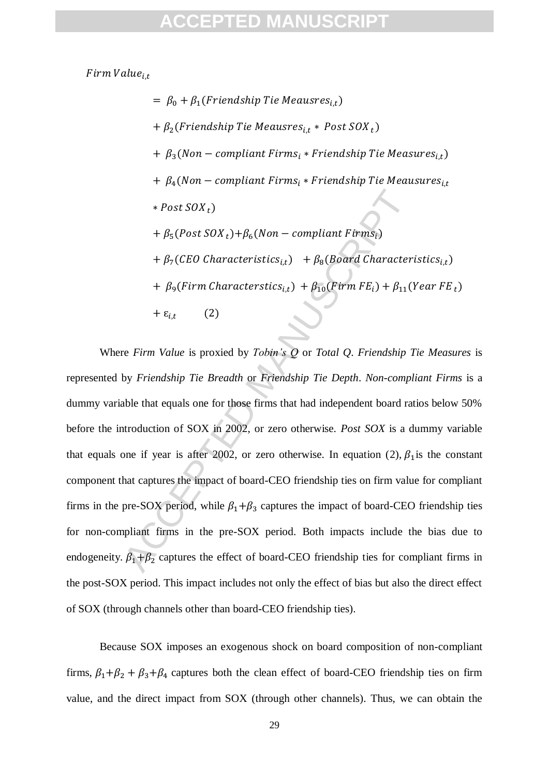Firm Value<sub>it</sub>

 $= \beta_0 + \beta_1(Friendship\ Tie\ Meausres_{i,t})$ +  $\beta_2$ (Friendship Tie Meausres<sub>i.t</sub> \* Post SOX<sub>t</sub>) +  $\beta_3(Non-compliant \, Firms_i * Friendship \, Tie \, Measures_{i,t})$  $+ \beta_4(Non-compliant \, Firms_i * Friendship \, Tie \, Meausures_{i.t.})$  $*$  *Post SOX*<sub>t</sub>) +  $\beta_5$ (Post SOX<sub>t</sub>)+ $\beta_6$ (Non – compliant Firms<sub>i</sub>) +  $\beta_7$ (CEO Characteristics<sub>i,t</sub>) +  $\beta_8$ (Board Characteristics<sub>i,t</sub>) +  $\beta_9(Firm$  Characterstics<sub>i,t</sub>) +  $\beta_{10}(Firm$  FE<sub>i</sub>) +  $\beta_{11}(Year$  FE<sub>t</sub>)  $+ \varepsilon_{i,t}$  (2)

\* Post  $SOX_t$ )<br>
+  $\beta_5 (Post\, SOX_t) + \beta_6 (Non - compliant\, Firms_i)$ <br>
+  $\beta_7 (CEO\, Characteristics_{\xi,t}) + \beta_8 (Board\, Character + \beta_9 (Firm\, Characteristics_{\xi,t}) + \beta_{10} (Firm\,FE_i) + \beta_{11} ($ <br>
+  $\epsilon_{i,t}$  (2)<br>
re Firm Value is proxied by Tobin's Q or Total Q. Friendship 1<br>
by Friendship Tie Brea Where *Firm Value* is proxied by *Tobin's Q* or *Total Q*. *Friendship Tie Measures* is represented by *Friendship Tie Breadth* or *Friendship Tie Depth*. *Non-compliant Firms* is a dummy variable that equals one for those firms that had independent board ratios below 50% before the introduction of SOX in 2002, or zero otherwise. *Post SOX* is a dummy variable that equals one if year is after 2002, or zero otherwise. In equation (2),  $\beta_1$  is the constant component that captures the impact of board-CEO friendship ties on firm value for compliant firms in the pre-SOX period, while  $\beta_1+\beta_3$  captures the impact of board-CEO friendship ties for non-compliant firms in the pre-SOX period. Both impacts include the bias due to endogeneity.  $\beta_1+\beta_2$  captures the effect of board-CEO friendship ties for compliant firms in the post-SOX period. This impact includes not only the effect of bias but also the direct effect of SOX (through channels other than board-CEO friendship ties).

Because SOX imposes an exogenous shock on board composition of non-compliant firms,  $\beta_1+\beta_2+\beta_3+\beta_4$  captures both the clean effect of board-CEO friendship ties on firm value, and the direct impact from SOX (through other channels). Thus, we can obtain the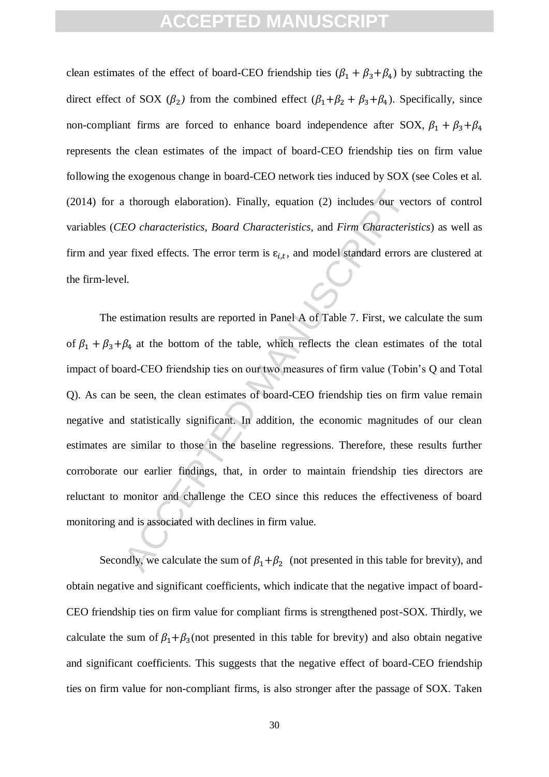clean estimates of the effect of board-CEO friendship ties  $(\beta_1 + \beta_3 + \beta_4)$  by subtracting the direct effect of SOX ( $\beta_2$ ) from the combined effect ( $\beta_1+\beta_2+\beta_3+\beta_4$ ). Specifically, since non-compliant firms are forced to enhance board independence after SOX,  $\beta_1 + \beta_3 + \beta_4$ represents the clean estimates of the impact of board-CEO friendship ties on firm value following the exogenous change in board-CEO network ties induced by SOX (see Coles et al. (2014) for a thorough elaboration). Finally, equation (2) includes our vectors of control variables (*CEO characteristics*, *Board Characteristics*, and *Firm Characteristics*) as well as firm and year fixed effects. The error term is  $\varepsilon_{i,t}$ , and model standard errors are clustered at the firm-level.

At thorough elaboration). Finally, equation (2) includes our vec<br>
EO characteristics, Board Characteristics, and Firm Characteris<br>
In The effects. The error term is  $\varepsilon_{i,t}$ , and model standard errors<br>
1.<br>
1.<br>
Estimation The estimation results are reported in Panel A of Table 7. First, we calculate the sum of  $\beta_1 + \beta_3 + \beta_4$  at the bottom of the table, which reflects the clean estimates of the total impact of board-CEO friendship ties on our two measures of firm value (Tobin's Q and Total Q). As can be seen, the clean estimates of board-CEO friendship ties on firm value remain negative and statistically significant. In addition, the economic magnitudes of our clean estimates are similar to those in the baseline regressions. Therefore, these results further corroborate our earlier findings, that, in order to maintain friendship ties directors are reluctant to monitor and challenge the CEO since this reduces the effectiveness of board monitoring and is associated with declines in firm value.

Secondly, we calculate the sum of  $\beta_1+\beta_2$  (not presented in this table for brevity), and obtain negative and significant coefficients, which indicate that the negative impact of board-CEO friendship ties on firm value for compliant firms is strengthened post-SOX. Thirdly, we calculate the sum of  $\beta_1+\beta_3$  (not presented in this table for brevity) and also obtain negative and significant coefficients. This suggests that the negative effect of board-CEO friendship ties on firm value for non-compliant firms, is also stronger after the passage of SOX. Taken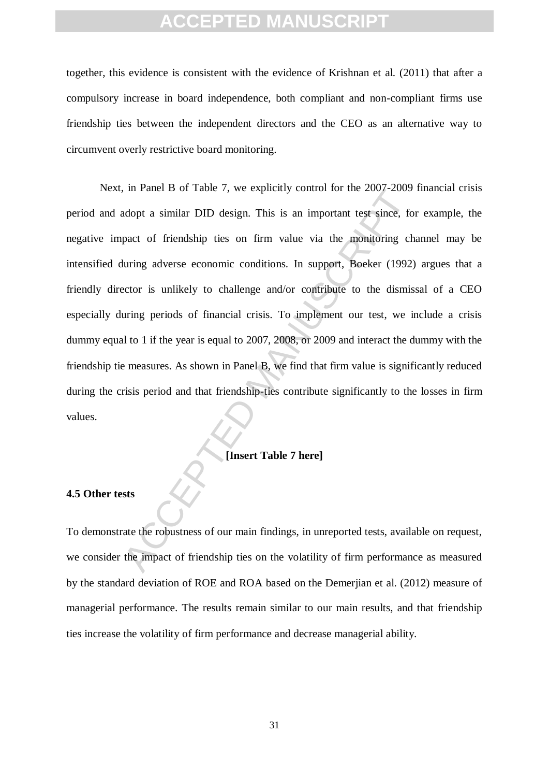together, this evidence is consistent with the evidence of Krishnan et al. (2011) that after a compulsory increase in board independence, both compliant and non-compliant firms use friendship ties between the independent directors and the CEO as an alternative way to circumvent overly restrictive board monitoring.

and the solution of the solution of the solution of the solution of the solution and samilar DID design. This is an important test since, for pact of friendship ties on firm value via the monitoring charge and turning adve Next, in Panel B of Table 7, we explicitly control for the 2007-2009 financial crisis period and adopt a similar DID design. This is an important test since, for example, the negative impact of friendship ties on firm value via the monitoring channel may be intensified during adverse economic conditions. In support, Boeker (1992) argues that a friendly director is unlikely to challenge and/or contribute to the dismissal of a CEO especially during periods of financial crisis. To implement our test, we include a crisis dummy equal to 1 if the year is equal to 2007, 2008, or 2009 and interact the dummy with the friendship tie measures. As shown in Panel B, we find that firm value is significantly reduced during the crisis period and that friendship-ties contribute significantly to the losses in firm values.

#### **[Insert Table 7 here]**

#### **4.5 Other tests**

To demonstrate the robustness of our main findings, in unreported tests, available on request, we consider the impact of friendship ties on the volatility of firm performance as measured by the standard deviation of ROE and ROA based on the Demerjian et al. (2012) measure of managerial performance. The results remain similar to our main results, and that friendship ties increase the volatility of firm performance and decrease managerial ability.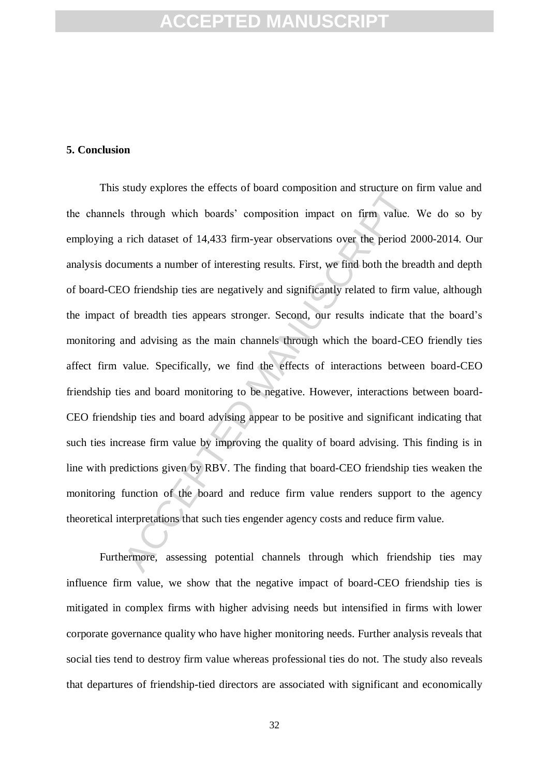#### **5. Conclusion**

study explores the enects of board composition and structure on<br>strongh which boards' composition impact on firm value.<br>rich dataset of 14,433 firm-year observations over the period 2<br>uments a number of interesting results This study explores the effects of board composition and structure on firm value and the channels through which boards' composition impact on firm value. We do so by employing a rich dataset of 14,433 firm-year observations over the period 2000-2014. Our analysis documents a number of interesting results. First, we find both the breadth and depth of board-CEO friendship ties are negatively and significantly related to firm value, although the impact of breadth ties appears stronger. Second, our results indicate that the board's monitoring and advising as the main channels through which the board-CEO friendly ties affect firm value. Specifically, we find the effects of interactions between board-CEO friendship ties and board monitoring to be negative. However, interactions between board-CEO friendship ties and board advising appear to be positive and significant indicating that such ties increase firm value by improving the quality of board advising. This finding is in line with predictions given by RBV. The finding that board-CEO friendship ties weaken the monitoring function of the board and reduce firm value renders support to the agency theoretical interpretations that such ties engender agency costs and reduce firm value.

Furthermore, assessing potential channels through which friendship ties may influence firm value, we show that the negative impact of board-CEO friendship ties is mitigated in complex firms with higher advising needs but intensified in firms with lower corporate governance quality who have higher monitoring needs. Further analysis reveals that social ties tend to destroy firm value whereas professional ties do not. The study also reveals that departures of friendship-tied directors are associated with significant and economically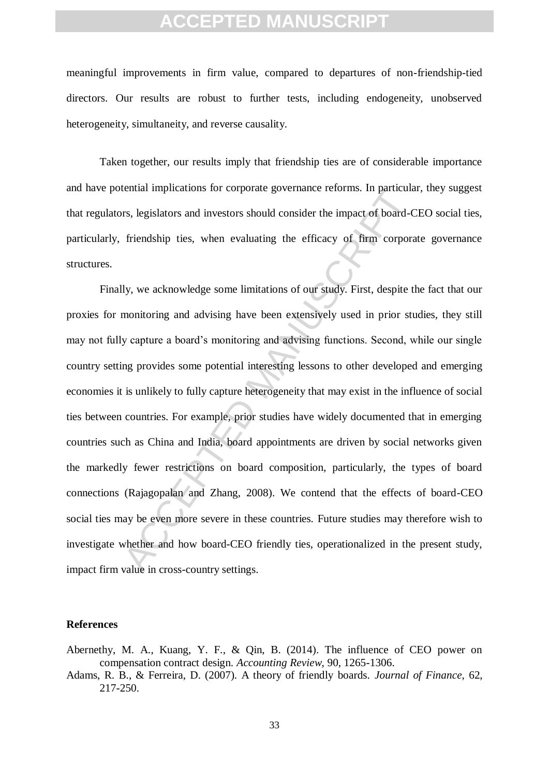meaningful improvements in firm value, compared to departures of non-friendship-tied directors. Our results are robust to further tests, including endogeneity, unobserved heterogeneity, simultaneity, and reverse causality.

Taken together, our results imply that friendship ties are of considerable importance and have potential implications for corporate governance reforms. In particular, they suggest that regulators, legislators and investors should consider the impact of board-CEO social ties, particularly, friendship ties, when evaluating the efficacy of firm corporate governance structures.

relation implications for corporate governance retorns. In particular<br>st, legislators and investors should consider the impact of board-C<br>friendship ties, when evaluating the efficacy of firm corporaly.<br>Iy, we acknowledge Finally, we acknowledge some limitations of our study. First, despite the fact that our proxies for monitoring and advising have been extensively used in prior studies, they still may not fully capture a board's monitoring and advising functions. Second, while our single country setting provides some potential interesting lessons to other developed and emerging economies it is unlikely to fully capture heterogeneity that may exist in the influence of social ties between countries. For example, prior studies have widely documented that in emerging countries such as China and India, board appointments are driven by social networks given the markedly fewer restrictions on board composition, particularly, the types of board connections (Rajagopalan and Zhang, 2008). We contend that the effects of board-CEO social ties may be even more severe in these countries. Future studies may therefore wish to investigate whether and how board-CEO friendly ties, operationalized in the present study, impact firm value in cross-country settings.

#### **References**

- Abernethy, M. A., Kuang, Y. F., & Qin, B. (2014). The influence of CEO power on compensation contract design. *Accounting Review*, 90, 1265-1306.
- Adams, R. B., & Ferreira, D. (2007). A theory of friendly boards. *Journal of Finance*, 62, 217-250.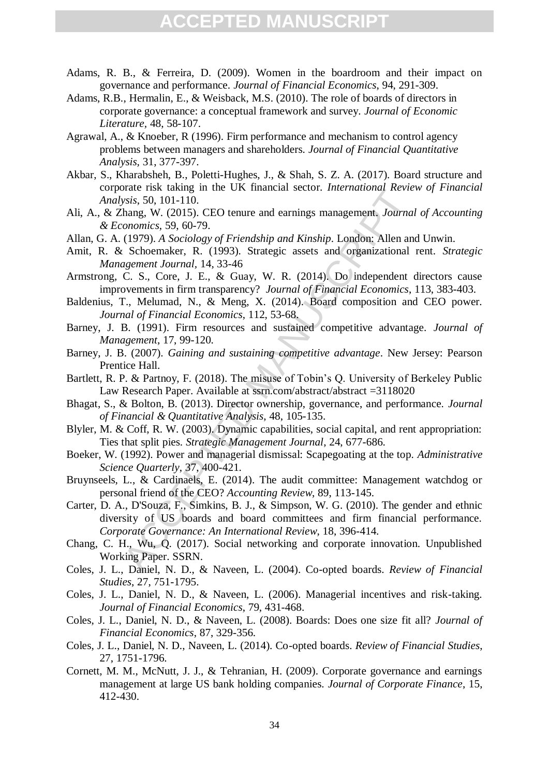- Adams, R. B., & Ferreira, D. (2009). Women in the boardroom and their impact on governance and performance. *Journal of Financial Economics*, 94, 291-309.
- Adams, R.B., Hermalin, E., & Weisback, M.S. (2010). The role of boards of directors in corporate governance: a conceptual framework and survey. *Journal of Economic Literature,* 48, 58-107.
- Agrawal, A., & Knoeber, R (1996). Firm performance and mechanism to control agency problems between managers and shareholders*. Journal of Financial Quantitative Analysis,* 31, 377-397.
- Akbar, S., Kharabsheh, B., Poletti-Hughes, J., & Shah, S. Z. A. (2017). Board structure and corporate risk taking in the UK financial sector. *International Review of Financial Analysis*, 50, 101-110.
- Ali, A., & Zhang, W. (2015). CEO tenure and earnings management. *Journal of Accounting & Economics*, 59, 60-79.
- Allan, G. A. (1979). *A Sociology of Friendship and Kinship*. London: Allen and Unwin.
- Amit, R. & Schoemaker, R. (1993). Strategic assets and organizational rent. *Strategic Management Journal,* 14, 33-46
- Armstrong, C. S., Core, J. E., & Guay, W. R. (2014). Do independent directors cause improvements in firm transparency? *Journal of Financial Economics*, 113, 383-403.
- Baldenius, T., Melumad, N., & Meng, X. (2014). Board composition and CEO power. *Journal of Financial Economics*, 112, 53-68.
- Barney, J. B. (1991). Firm resources and sustained competitive advantage. *Journal of Management*, 17, 99-120.
- Barney, J. B. (2007). *Gaining and sustaining competitive advantage*. New Jersey: Pearson Prentice Hall.
- Bartlett, R. P. & Partnoy, F. (2018). The misuse of Tobin's Q. University of Berkeley Public Law Research Paper. Available at ssrn.com/abstract/abstract =3118020
- Bhagat, S., & Bolton, B. (2013). Director ownership, governance, and performance. *Journal of Financial & Quantitative Analysis*, 48, 105-135.
- Blyler, M. & Coff, R. W. (2003). Dynamic capabilities, social capital, and rent appropriation: Ties that split pies. *Strategic Management Journal*, 24, 677-686.
- Boeker, W. (1992). Power and managerial dismissal: Scapegoating at the top. *Administrative Science Quarterly*, 37, 400-421.
- Bruynseels, L., & Cardinaels, E. (2014). The audit committee: Management watchdog or personal friend of the CEO? *Accounting Review*, 89, 113-145.
- and risk acknige in the OK linearchia sector. *International Revie*<br>
1915. Systs, 50, 101-110.<br>
Committee, 39, 60-79.<br>
Committee, 39, 60-79.<br>
(1979). A Sociology of Friendship and Kinship. London: Allen an<br>
1(1979). A Soci Carter, D. A., D'Souza, F., Simkins, B. J., & Simpson, W. G. (2010). The gender and ethnic diversity of US boards and board committees and firm financial performance. *Corporate Governance: An International Review*, 18, 396-414.
- Chang, C. H., Wu, Q. (2017). Social networking and corporate innovation. Unpublished Working Paper. SSRN.
- Coles, J. L., Daniel, N. D., & Naveen, L. (2004). Co-opted boards. *Review of Financial Studies*, 27, 751-1795.
- Coles, J. L., Daniel, N. D., & Naveen, L. (2006). Managerial incentives and risk-taking. *Journal of Financial Economics*, 79, 431-468.
- Coles, J. L., Daniel, N. D., & Naveen, L. (2008). Boards: Does one size fit all? *Journal of Financial Economics*, 87, 329-356.
- Coles, J. L., Daniel, N. D., Naveen, L. (2014). Co-opted boards. *Review of Financial Studies*, 27, 1751-1796.
- Cornett, M. M., McNutt, J. J., & Tehranian, H. (2009). Corporate governance and earnings management at large US bank holding companies. *Journal of Corporate Finance*, 15, 412-430.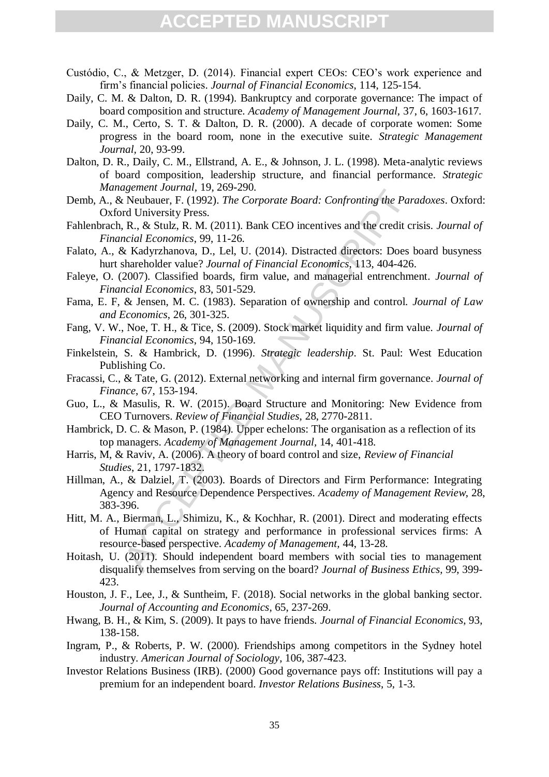- Custódio, C., & Metzger, D. (2014). Financial expert CEOs: CEO's work experience and firm's financial policies. *Journal of Financial Economics*, 114, 125-154.
- Daily, C. M. & Dalton, D. R. (1994). Bankruptcy and corporate governance: The impact of board composition and structure. *Academy of Management Journal,* 37, 6, 1603-1617.
- Daily, C. M., Certo, S. T. & Dalton, D. R. (2000). A decade of corporate women: Some progress in the board room, none in the executive suite. *Strategic Management Journal,* 20, 93-99.
- Dalton, D. R., Daily, C. M., Ellstrand, A. E., & Johnson, J. L. (1998). Meta-analytic reviews of board composition, leadership structure, and financial performance. *Strategic Management Journal,* 19, 269-290.
- Demb, A., & Neubauer, F. (1992). *The Corporate Board: Confronting the Paradoxes*. Oxford: Oxford University Press.
- Fahlenbrach, R., & Stulz, R. M. (2011). Bank CEO incentives and the credit crisis. *Journal of Financial Economics*, 99, 11-26.
- Falato, A., & Kadyrzhanova, D., Lel, U. (2014). Distracted directors: Does board busyness hurt shareholder value? *Journal of Financial Economics*, 113, 404-426.
- Faleye, O. (2007). Classified boards, firm value, and managerial entrenchment. *Journal of Financial Economics*, 83, 501-529.
- Fama, E. F, & Jensen, M. C. (1983). Separation of ownership and control. *Journal of Law and Economics*, 26, 301-325.
- Fang, V. W., Noe, T. H., & Tice, S. (2009). Stock market liquidity and firm value. *Journal of Financial Economics*, 94, 150-169.
- Finkelstein, S. & Hambrick, D. (1996). *Strategic leadership*. St. Paul: West Education Publishing Co.
- Fracassi, C., & Tate, G. (2012). External networking and internal firm governance. *Journal of Finance*, 67, 153-194.
- Guo, L., & Masulis, R. W. (2015). Board Structure and Monitoring: New Evidence from CEO Turnovers. *Review of Financial Studies*, 28, 2770-2811.
- Hambrick, D. C. & Mason, P. (1984). Upper echelons: The organisation as a reflection of its top managers. *Academy of Management Journal,* 14, 401-418.
- Harris, M, & Raviv, A. (2006). A theory of board control and size, *Review of Financial Studies*, 21, 1797-1832.
- Hillman, A., & Dalziel, T. (2003). Boards of Directors and Firm Performance: Integrating Agency and Resource Dependence Perspectives. *Academy of Management Review*, 28, 383-396.
- gement Journal, 19, 209-250.<br>
Reubauer, F. (1992). The Corporate Board: Confronting the Par<br>
rd University Press.<br>
R. & Stulz, R. M. (2011). Bank CEO incentives and the credit cr<br>
rd University Press.<br>
R. & Stulz, R. M. (2 Hitt, M. A., Bierman, L., Shimizu, K., & Kochhar, R. (2001). Direct and moderating effects of Human capital on strategy and performance in professional services firms: A resource-based perspective. *Academy of Management,* 44, 13-28.
- Hoitash, U. (2011). Should independent board members with social ties to management disqualify themselves from serving on the board? *Journal of Business Ethics*, 99, 399- 423.
- Houston, J. F., Lee, J., & Suntheim, F. (2018). Social networks in the global banking sector. *Journal of Accounting and Economics*, 65, 237-269.
- Hwang, B. H., & Kim, S. (2009). It pays to have friends. *Journal of Financial Economics*, 93, 138-158.
- Ingram, P., & Roberts, P. W. (2000). Friendships among competitors in the Sydney hotel industry. *American Journal of Sociology*, 106, 387-423.
- Investor Relations Business (IRB). (2000) Good governance pays off: Institutions will pay a premium for an independent board. *Investor Relations Business*, 5, 1-3.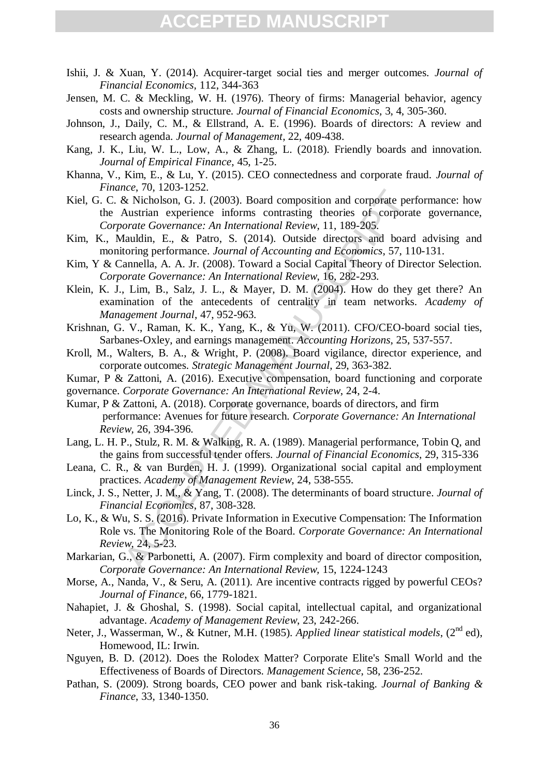- Ishii, J. & Xuan, Y. (2014). Acquirer-target social ties and merger outcomes. *Journal of Financial Economics,* 112, 344-363
- Jensen, M. C. & Meckling, W. H. (1976). Theory of firms: Managerial behavior, agency costs and ownership structure. *Journal of Financial Economics*, 3, 4, 305-360.
- Johnson, J., Daily, C. M., & Ellstrand, A. E. (1996). Boards of directors: A review and research agenda. *Journal of Management*, 22, 409-438.
- Kang, J. K., Liu, W. L., Low, A., & Zhang, L. (2018). Friendly boards and innovation. *Journal of Empirical Finance*, 45, 1-25.
- Khanna, V., Kim, E., & Lu, Y. (2015). CEO connectedness and corporate fraud. *Journal of Finance*, 70, 1203-1252.
- the, 70, 1200-12252.<br>
E. Nicholson, G. J. (2003). Board composition and corporate per<br>
Austrian experience: An International Review, 11, 189-205.<br>
Analulin, E., & Patro, S. (2014). Outside directors and board<br>
afauldin, E Kiel, G. C. & Nicholson, G. J. (2003). Board composition and corporate performance: how the Austrian experience informs contrasting theories of corporate governance, *Corporate Governance: An International Review*, 11, 189-205.
- Kim, K., Mauldin, E., & Patro, S. (2014). Outside directors and board advising and monitoring performance. *Journal of Accounting and Economics*, 57, 110-131.
- Kim, Y & Cannella, A. A. Jr. (2008). Toward a Social Capital Theory of Director Selection. *Corporate Governance: An International Review*, 16, 282-293.
- Klein, K. J., Lim, B., Salz, J. L., & Mayer, D. M. (2004). How do they get there? An examination of the antecedents of centrality in team networks. *Academy of Management Journal*, 47, 952-963.
- Krishnan, G. V., Raman, K. K., Yang, K., & Yu, W. (2011). CFO/CEO-board social ties, Sarbanes-Oxley, and earnings management. *Accounting Horizons*, 25, 537-557.
- Kroll, M., Walters, B. A., & Wright, P. (2008). Board vigilance, director experience, and corporate outcomes. *Strategic Management Journal*, 29, 363-382.
- Kumar, P & Zattoni, A. (2016). Executive compensation, board functioning and corporate
- governance. *Corporate Governance: An International Review*, 24, 2-4.
- Kumar, P & Zattoni, A. (2018). Corporate governance, boards of directors, and firm performance: Avenues for future research. *Corporate Governance: An International Review,* 26, 394-396.
- Lang, L. H. P., Stulz, R. M. & Walking, R. A. (1989). Managerial performance, Tobin Q, and the gains from successful tender offers. *Journal of Financial Economics*, 29, 315-336
- Leana, C. R., & van Burden, H. J. (1999). Organizational social capital and employment practices. *Academy of Management Review*, 24, 538-555.
- Linck, J. S., Netter, J. M., & Yang, T. (2008). The determinants of board structure. *Journal of Financial Economics*, 87, 308-328.
- Lo, K., & Wu, S. S. (2016). Private Information in Executive Compensation: The Information Role vs. The Monitoring Role of the Board. *Corporate Governance: An International Review*, 24*,* 5-23.
- Markarian, G., & Parbonetti, A. (2007). Firm complexity and board of director composition, *Corporate Governance: An International Review,* 15, 1224-1243
- Morse, A., Nanda, V., & Seru, A. (2011). Are incentive contracts rigged by powerful CEOs? *Journal of Finance*, 66, 1779-1821.
- Nahapiet, J. & Ghoshal, S. (1998). Social capital, intellectual capital, and organizational advantage. *Academy of Management Review*, 23, 242-266.
- Neter, J., Wasserman, W., & Kutner, M.H. (1985). *Applied linear statistical models*, (2<sup>nd</sup> ed), Homewood, IL: Irwin.
- Nguyen, B. D. (2012). Does the Rolodex Matter? Corporate Elite's Small World and the Effectiveness of Boards of Directors. *Management Science*, 58, 236-252.
- Pathan, S. (2009). Strong boards, CEO power and bank risk-taking. *Journal of Banking & Finance*, 33, 1340-1350.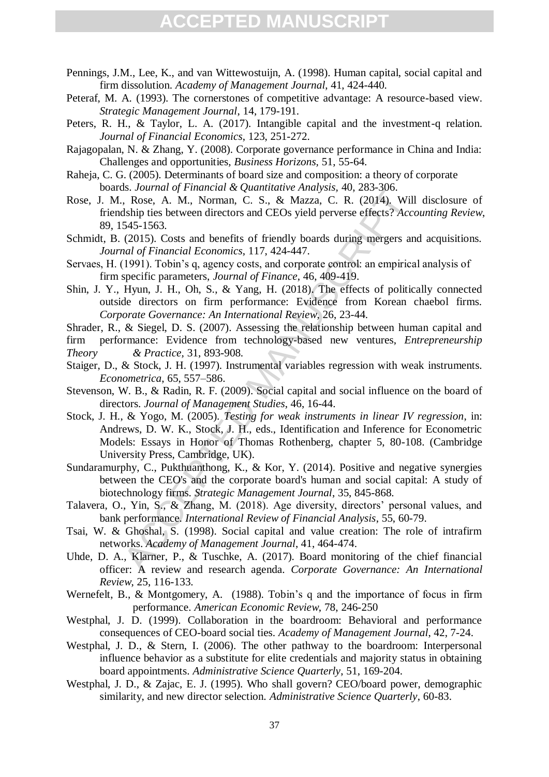- Pennings, J.M., Lee, K., and van Wittewostuijn, A. (1998). Human capital, social capital and firm dissolution. *Academy of Management Journal*, 41, 424-440.
- Peteraf, M. A. (1993). The cornerstones of competitive advantage: A resource-based view. *Strategic Management Journal*, 14, 179-191.
- Peters, R. H., & Taylor, L. A. (2017). Intangible capital and the investment-q relation. *Journal of Financial Economics*, 123, 251-272.
- Rajagopalan, N. & Zhang, Y. (2008). Corporate governance performance in China and India: Challenges and opportunities*, Business Horizons,* 51, 55-64.
- Raheja, C. G. (2005). Determinants of board size and composition: a theory of corporate boards. *Journal of Financial & Quantitative Analysis,* 40, 283-306.
- Rose, J. M., Rose, A. M., Norman, C. S., & Mazza, C. R. (2014). Will disclosure of friendship ties between directors and CEOs yield perverse effects? *Accounting Review*, 89, 1545-1563.
- Schmidt, B. (2015). Costs and benefits of friendly boards during mergers and acquisitions. *Journal of Financial Economics*, 117, 424-447.
- Servaes, H. (1991). Tobin's q, agency costs, and corporate control: an empirical analysis of firm specific parameters, *Journal of Finance*, 46, 409-419.
- Shin, J. Y., Hyun, J. H., Oh, S., & Yang, H. (2018). The effects of politically connected outside directors on firm performance: Evidence from Korean chaebol firms. *Corporate Governance: An International Review*, 26, 23-44.
- Shrader, R., & Siegel, D. S. (2007). Assessing the relationship between human capital and firm performance: Evidence from technology-based new ventures, *Entrepreneurship*
- *Theory & Practice,* 31, 893-908*.*
- Staiger, D., & Stock, J. H. (1997). Instrumental variables regression with weak instruments. *Econometrica*, 65, 557–586.
- Stevenson, W. B., & Radin, R. F. (2009). Social capital and social influence on the board of directors. *Journal of Management Studies*, 46, 16-44.
- s. Sournal of Punnetate or Manual Premiere Amatter System.<br>
1, Rose, A. M., Norman, C. S., & Mazza, C. R. (2014). Wil<br>
Ship ties between directors and CEOs yield perverse effects? Acc<br>
2015). Costs and benefits of friendly Stock, J. H., & Yogo, M. (2005). *Testing for weak instruments in linear IV regression*, in: Andrews, D. W. K., Stock, J. H., eds., Identification and Inference for Econometric Models: Essays in Honor of Thomas Rothenberg, chapter 5, 80-108. (Cambridge University Press, Cambridge, UK).
- Sundaramurphy, C., Pukthuanthong, K., & Kor, Y. (2014). Positive and negative synergies between the CEO's and the corporate board's human and social capital: A study of biotechnology firms. *Strategic Management Journal*, 35, 845-868.
- Talavera, O., Yin, S., & Zhang, M. (2018). Age diversity, directors' personal values, and bank performance. *International Review of Financial Analysis*, 55, 60-79.
- Tsai, W. & Ghoshal, S. (1998). Social capital and value creation: The role of intrafirm networks. *Academy of Management Journal*, 41, 464-474.
- Uhde, D. A., Klarner, P., & Tuschke, A. (2017). Board monitoring of the chief financial officer: A review and research agenda. *Corporate Governance: An International Review*, 25, 116-133.
- Wernefelt, B., & Montgomery, A. (1988). Tobin's q and the importance of focus in firm performance. *American Economic Review*, 78, 246-250
- Westphal, J. D. (1999). Collaboration in the boardroom: Behavioral and performance consequences of CEO-board social ties. *Academy of Management Journal*, 42, 7-24.
- Westphal, J. D., & Stern, I. (2006). The other pathway to the boardroom: Interpersonal influence behavior as a substitute for elite credentials and majority status in obtaining board appointments. *Administrative Science Quarterly*, 51, 169-204.
- Westphal, J. D., & Zajac, E. J. (1995). Who shall govern? CEO/board power, demographic similarity, and new director selection. *Administrative Science Quarterly*, 60-83.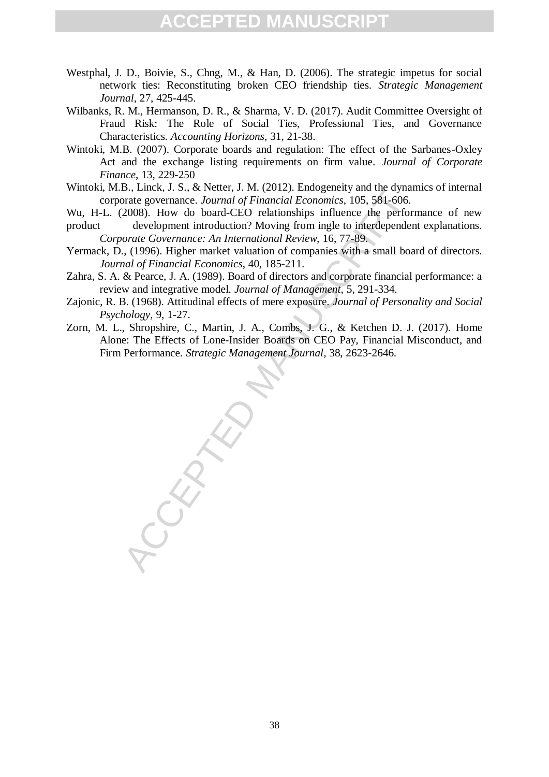- Westphal, J. D., Boivie, S., Chng, M., & Han, D. (2006). The strategic impetus for social network ties: Reconstituting broken CEO friendship ties. *Strategic Management Journal*, 27, 425-445.
- Wilbanks, R. M., Hermanson, D. R., & Sharma, V. D. (2017). Audit Committee Oversight of Fraud Risk: The Role of Social Ties, Professional Ties, and Governance Characteristics. *Accounting Horizons*, 31, 21-38.
- Wintoki, M.B. (2007). Corporate boards and regulation: The effect of the Sarbanes-Oxley Act and the exchange listing requirements on firm value. *Journal of Corporate Finance*, 13, 229-250
- Wintoki, M.B., Linck, J. S., & Netter, J. M. (2012). Endogeneity and the dynamics of internal corporate governance. *Journal of Financial Economics*, 105, 581-606.

Wu, H-L. (2008). How do board-CEO relationships influence the performance of new

- product development introduction? Moving from ingle to interdependent explanations. *Corporate Governance: An International Review,* 16, 77-89.
- Yermack, D., (1996). Higher market valuation of companies with a small board of directors. *Journal of Financial Economics*, 40, 185-211.
- Zahra, S. A. & Pearce, J. A. (1989). Board of directors and corporate financial performance: a review and integrative model. *Journal of Management*, 5, 291-334.
- Zajonic, R. B. (1968). Attitudinal effects of mere exposure. *Journal of Personality and Social Psychology*, 9, 1-27.
- S., Enc., 3. S., ex letter, 3. That (2012). Enloyeeury and the typical products, 105, 581-606.<br>
Arate governance. Journal of Financial Economics, 105, 581-606.<br>
2008). How do board-CEO relationships influence the performed Zorn, M. L., Shropshire, C., Martin, J. A., Combs, J. G., & Ketchen D. J. (2017). Home Alone: The Effects of Lone-Insider Boards on CEO Pay, Financial Misconduct, and Firm Performance. *Strategic Management Journal*, 38, 2623-2646.